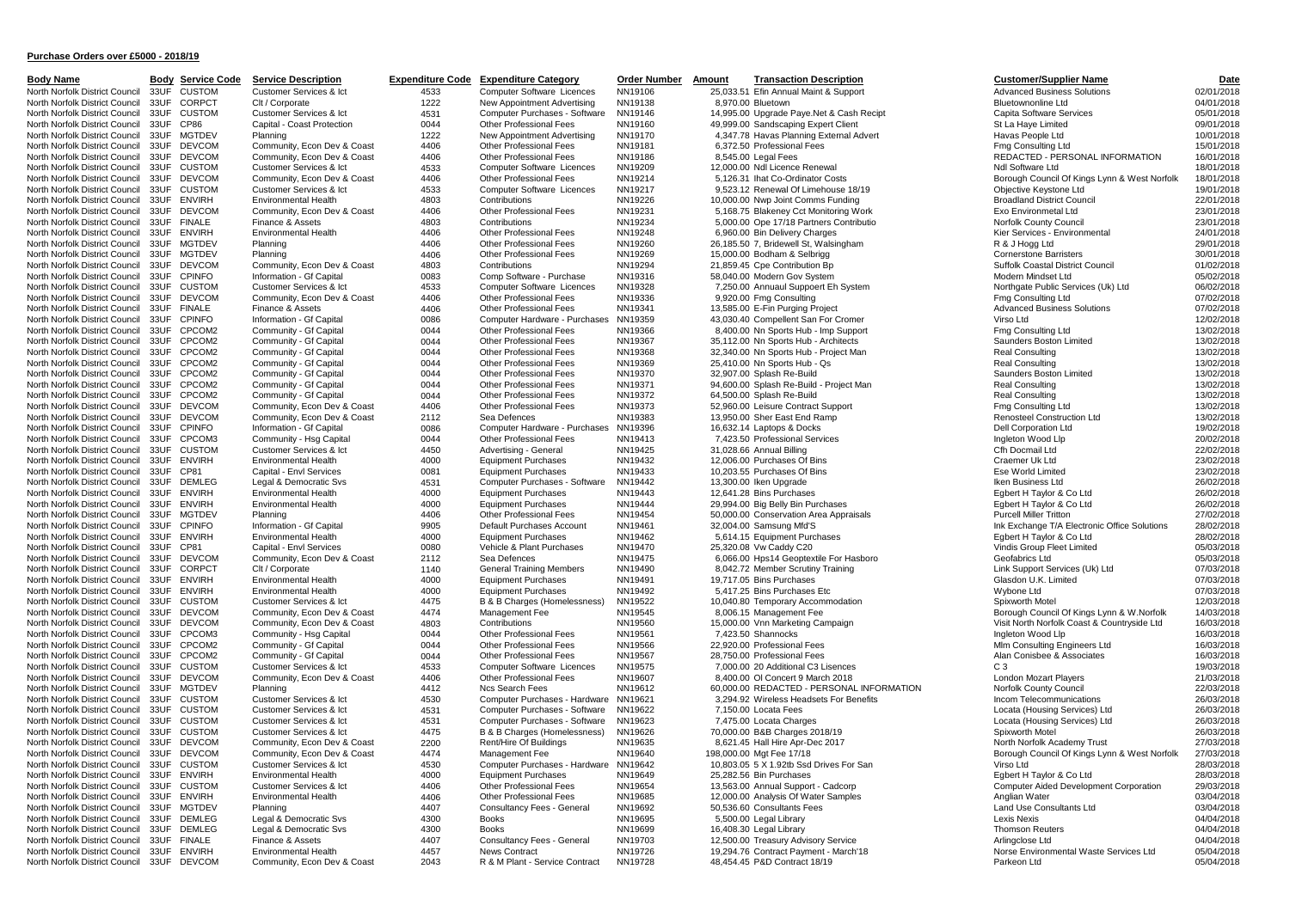| <b>Body Name</b>               | воау | <u>Service C</u>   |
|--------------------------------|------|--------------------|
| North Norfolk District Council | 33UF | <b>CUSTOM</b>      |
| North Norfolk District Council | 33UF | CORPCT             |
| North Norfolk District Council | 33UF | <b>CUSTOM</b>      |
| North Norfolk District Council | 33UF | <b>CP86</b>        |
|                                |      |                    |
| North Norfolk District Council | 33UF | MGTDEV             |
| North Norfolk District Council | 33UF | <b>DEVCOM</b>      |
| North Norfolk District Council | 33UF | <b>DEVCOM</b>      |
| North Norfolk District Council | 33UF | <b>CUSTOM</b>      |
| North Norfolk District Council | 33UF | <b>DEVCOM</b>      |
|                                | 33UF |                    |
| North Norfolk District Council |      | <b>CUSTOM</b>      |
| North Norfolk District Council | 33UF | <b>ENVIRH</b>      |
| North Norfolk District Council | 33UF | <b>DEVCOM</b>      |
| North Norfolk District Council | 33UF | <b>FINALE</b>      |
| North Norfolk District Council | 33UF | <b>ENVIRH</b>      |
| North Norfolk District Council | 33UF | MGTDEV             |
| North Norfolk District Council | 33UF | <b>MGTDEV</b>      |
|                                |      |                    |
| North Norfolk District Council | 33UF | <b>DEVCOM</b>      |
| North Norfolk District Council | 33UF | <b>CPINFO</b>      |
| North Norfolk District Council | 33UF | <b>CUSTOM</b>      |
| North Norfolk District Council | 33UF | <b>DEVCOM</b>      |
| North Norfolk District Council | 33UF | <b>FINALE</b>      |
| North Norfolk District Council | 33UF | CPINFO             |
|                                |      |                    |
| North Norfolk District Council | 33UF | CPCOM2             |
| North Norfolk District Council | 33UF | CPCOM2             |
| North Norfolk District Council | 33UF | CPCOM2             |
| North Norfolk District Council | 33UF | CPCOM2             |
| North Norfolk District Council | 33UF | CPCOM2             |
|                                |      |                    |
| North Norfolk District Council | 33UF | CPCOM2             |
| North Norfolk District Council | 33UF | CPCOM2             |
| North Norfolk District Council | 33UF | <b>DEVCOM</b>      |
| North Norfolk District Council | 33UF | <b>DEVCOM</b>      |
| North Norfolk District Council | 33UF | <b>CPINFO</b>      |
| North Norfolk District Council | 33UF | CPCOM3             |
| North Norfolk District Council | 33UF | <b>CUSTOM</b>      |
| North Norfolk District Council | 33UF | <b>ENVIRH</b>      |
|                                |      |                    |
| North Norfolk District Council | 33UF | CP81               |
| North Norfolk District Council | 33UF | <b>DEMLEG</b>      |
| North Norfolk District Council | 33UF | <b>ENVIRH</b>      |
| North Norfolk District Council | 33UF | <b>ENVIRH</b>      |
| North Norfolk District Council | 33UF | <b>MGTDEV</b>      |
| North Norfolk District Council | 33UF | <b>CPINFO</b>      |
| North Norfolk District Council |      | <b>ENVIRH</b>      |
|                                | 33UF |                    |
| North Norfolk District Council | 33UF | CP81               |
| North Norfolk District Council | 33UF | <b>DEVCOM</b>      |
| North Norfolk District Council | 33UF | CORPCT             |
| North Norfolk District Council | 33UF | <b>ENVIRH</b>      |
| North Norfolk District Council | 33UF | <b>ENVIRH</b>      |
| North Norfolk District Council | 33UF | <b>CUSTOM</b>      |
| North Norfolk District Council | 33UF | DEVCOM             |
|                                |      |                    |
| North Norfolk District Council | 33UF | <b>DEVCOM</b>      |
| North Norfolk District Council | 33UF | CPCOM3             |
| North Norfolk District Council | 33UF | CPCOM2             |
| North Norfolk District Council | 33UF | CPCOM2             |
| North Norfolk District Council | 33UF | <b>CUSTOM</b>      |
| North Norfolk District Council | 33UF | <b>DEVCOM</b>      |
|                                |      |                    |
| North Norfolk District Council | 33UF | <b>MGTDEV</b>      |
| North Norfolk District Council | 33UF | <b>CUSTOM</b>      |
| North Norfolk District Council | 33UF | <b>:USTOM</b><br>C |
| North Norfolk District Council | 33UF | <b>CUSTOM</b>      |
| North Norfolk District Council | 33UF | <b>CUSTOM</b>      |
| North Norfolk District Council | 33UF | <b>DEVCOM</b>      |
| North Norfolk District Council | 33UF |                    |
|                                |      | <b>DEVCOM</b>      |
| North Norfolk District Council | 33UF | <b>CUSTOM</b>      |
| North Norfolk District Council | 33UF | <b>ENVIRH</b>      |
| North Norfolk District Council | 33UF | <b>CUSTOM</b>      |
| North Norfolk District Council | 33UF | <b>ENVIRH</b>      |
| North Norfolk District Council | 33UF | <b>MGTDEV</b>      |
| North Norfolk District Council | 33UF | <b>DEMLEG</b>      |
| North Norfolk District Council | 33UF | <b>DEMLEG</b>      |
| North Norfolk District Council | 33UF | <b>FINALE</b>      |
|                                |      |                    |
| North Norfolk District Council | 33UF | <b>ENVIRH</b>      |
| North Norfolk District Council | 33UF | <b>DEVCOM</b>      |

|           |                              | <b>Body Service Code Service Description</b>           |              | <b>Expenditure Code Expenditure Category</b>       | Order Number Amount | <b>Transaction Description</b>                                            | <b>Customer/Supplier Name</b>                                  | Date                     |
|-----------|------------------------------|--------------------------------------------------------|--------------|----------------------------------------------------|---------------------|---------------------------------------------------------------------------|----------------------------------------------------------------|--------------------------|
|           |                              |                                                        |              |                                                    |                     |                                                                           |                                                                |                          |
| 33UF      | <b>CUSTOM</b>                | Customer Services & Ict                                | 4533         | Computer Software Licences                         | NN19106             | 25,033.51 Efin Annual Maint & Support                                     | <b>Advanced Business Solutions</b>                             | 02/01/2018               |
| 33UF      | CORPCT                       | Clt / Corporate                                        | 1222         | New Appointment Advertising                        | NN19138             | 8,970.00 Bluetown                                                         | <b>Bluetownonline Ltd</b>                                      | 04/01/2018               |
|           | 33UF CUSTOM                  | Customer Services & Ict                                | 4531         | Computer Purchases - Software                      | NN19146             | 14,995.00 Upgrade Paye.Net & Cash Recipt                                  | Capita Software Services                                       | 05/01/2018               |
| 33UF CP86 |                              | Capital - Coast Protection                             | 0044         | Other Professional Fees                            | NN19160             | 49,999.00 Sandscaping Expert Client                                       | St La Haye Limited                                             | 09/01/2018               |
|           | 33UF MGTDEV                  | Planning                                               | 1222         | New Appointment Advertising                        | NN19170             | 4,347.78 Havas Planning External Advert                                   | Havas People Ltd                                               | 10/01/2018               |
|           | 33UF DEVCOM                  | Community, Econ Dev & Coast                            | 4406         | Other Professional Fees                            | NN19181             | 6,372.50 Professional Fees                                                | Fmg Consulting Ltd                                             | 15/01/2018               |
|           | 33UF DEVCOM                  | Community, Econ Dev & Coast                            | 4406         | <b>Other Professional Fees</b>                     | NN19186             | 8.545.00 Legal Fees                                                       | REDACTED - PERSONAL INFORMATION                                | 16/01/2018               |
|           | 33UF CUSTOM                  | Customer Services & Ict                                | 4533         | Computer Software Licences                         | NN19209             | 12,000.00 Ndl Licence Renewal                                             | Ndl Software Ltd                                               | 18/01/2018               |
|           | 33UF DEVCOM                  | Community, Econ Dev & Coast                            | 4406         | Other Professional Fees                            | NN19214             | 5.126.31 Ihat Co-Ordinator Costs                                          | Borough Council Of Kings Lynn & West Norfolk                   | 18/01/2018               |
|           | 33UF CUSTOM                  | Customer Services & Ict                                | 4533         | Computer Software Licences                         | NN19217             | 9,523.12 Renewal Of Limehouse 18/19                                       | Objective Keystone Ltd                                         | 19/01/2018               |
| 33UF      | <b>ENVIRH</b>                | <b>Environmental Health</b>                            | 4803         | Contributions                                      | NN19226             | 10,000.00 Nwp Joint Comms Funding                                         | <b>Broadland District Council</b>                              | 22/01/2018               |
| 33UF      | <b>DEVCOM</b>                | Community, Econ Dev & Coast                            | 4406         | Other Professional Fees                            | NN19231             | 5,168.75 Blakeney Cct Monitoring Work                                     | Exo Environmetal Ltd                                           | 23/01/2018               |
|           | 33UF FINALE                  | Finance & Assets                                       | 4803         | Contributions                                      | NN19234             | 5,000.00 Ope 17/18 Partners Contributio                                   | Norfolk County Council                                         | 23/01/2018               |
|           | 33UF ENVIRH                  | <b>Environmental Health</b>                            | 4406         | Other Professional Fees                            | NN19248             | 6,960.00 Bin Delivery Charges                                             | Kier Services - Environmental                                  | 24/01/2018               |
| 33UF      | MGTDEV                       | Planning                                               | 4406         | Other Professional Fees                            | NN19260             | 26,185.50 7, Bridewell St, Walsingham                                     | R & J Hogg Ltd                                                 | 29/01/2018               |
| 33UF      | <b>MGTDEV</b>                | Planning                                               | 4406         | Other Professional Fees                            | NN19269             | 15,000.00 Bodham & Selbrigg                                               | <b>Cornerstone Barristers</b>                                  | 30/01/2018               |
|           | 33UF DEVCOM                  | Community, Econ Dev & Coast                            | 4803         | Contributions                                      | NN19294             | 21,859.45 Cpe Contribution Bp                                             | Suffolk Coastal District Council                               | 01/02/2018               |
|           | 33UF CPINFO                  | Information - Gf Capital                               | 0083         | Comp Software - Purchase                           | NN19316             | 58,040.00 Modern Gov System                                               | Modern Mindset Ltd                                             | 05/02/2018               |
|           | 33UF CUSTOM                  | Customer Services & Ict                                | 4533         | Computer Software Licences                         | NN19328             | 7,250.00 Annuaul Suppoert Eh System                                       | Northgate Public Services (Uk) Ltd                             | 06/02/2018               |
|           | 33UF DEVCOM                  | Community, Econ Dev & Coast                            | 4406         | Other Professional Fees                            | NN19336             | 9,920.00 Fmg Consulting                                                   | Fmg Consulting Ltd                                             | 07/02/2018               |
|           | 33UF FINALE                  | Finance & Assets                                       | 4406         | <b>Other Professional Fees</b>                     | NN19341             | 13,585.00 E-Fin Purging Project                                           | <b>Advanced Business Solutions</b>                             | 07/02/2018               |
|           | 33UF CPINFO                  | Information - Gf Capital                               | 0086         | Computer Hardware - Purchases NN19359              |                     | 43,030.40 Compellent San For Cromer                                       | Virso Ltd                                                      | 12/02/2018               |
|           | 33UF CPCOM2                  | Community - Gf Capital                                 | 0044         | Other Professional Fees                            | NN19366             | 8,400.00 Nn Sports Hub - Imp Support                                      | Fmg Consulting Ltd                                             | 13/02/2018               |
|           | 33UF CPCOM2                  | Community - Gf Capital                                 | 0044         | Other Professional Fees                            | NN19367             | 35,112.00 Nn Sports Hub - Architects                                      | Saunders Boston Limited                                        | 13/02/2018               |
| 33UF      | CPCOM2                       | Community - Gf Capital                                 | 0044         | Other Professional Fees                            | NN19368             | 32,340.00 Nn Sports Hub - Project Man                                     | <b>Real Consulting</b>                                         | 13/02/2018               |
| 33UF      | CPCOM2                       | Community - Gf Capital                                 | 0044         | Other Professional Fees                            | NN19369             | 25,410.00 Nn Sports Hub - Qs                                              | <b>Real Consulting</b>                                         | 13/02/2018               |
| 33UF      | CPCOM2                       | Community - Gf Capital                                 | 0044         | Other Professional Fees                            | NN19370             | 32,907.00 Splash Re-Build                                                 | Saunders Boston Limited                                        | 13/02/2018               |
|           |                              |                                                        | 0044         |                                                    |                     |                                                                           |                                                                |                          |
| 33UF      | CPCOM2                       | Community - Gf Capital                                 |              | Other Professional Fees                            | NN19371             | 94,600.00 Splash Re-Build - Project Man                                   | <b>Real Consulting</b>                                         | 13/02/2018               |
| 33UF      | CPCOM2                       | Community - Gf Capital                                 | 0044         | Other Professional Fees                            | NN19372             | 64,500.00 Splash Re-Build                                                 | Real Consulting                                                | 13/02/2018               |
| 33UF      | <b>DEVCOM</b>                | Community, Econ Dev & Coast                            | 4406         | Other Professional Fees                            | NN19373             | 52,960.00 Leisure Contract Support                                        | Fmg Consulting Ltd                                             | 13/02/2018               |
|           | 33UF DEVCOM                  | Community, Econ Dev & Coast                            | 2112         | Sea Defences                                       | NN19383             | 13,950.00 Sher East End Ramp                                              | Renosteel Construction Ltd                                     | 13/02/2018               |
|           | 33UF CPINFO                  | Information - Gf Capital                               | 0086         | Computer Hardware - Purchases NN19396              |                     | 16,632.14 Laptops & Docks                                                 | Dell Corporation Ltd                                           | 19/02/2018               |
|           | 33UF CPCOM3                  | Community - Hsq Capital                                | 0044         | Other Professional Fees                            | NN19413             | 7,423.50 Professional Services                                            | Ingleton Wood Lip                                              | 20/02/2018               |
|           | 33UF CUSTOM                  | Customer Services & Ict                                | 4450         | Advertising - General                              | NN19425             | 31,028.66 Annual Billing                                                  | Cfh Docmail Ltd                                                | 22/02/2018               |
|           | 33UF ENVIRH                  | <b>Environmental Health</b>                            | 4000         | <b>Equipment Purchases</b>                         | NN19432             | 12,006.00 Purchases Of Bins                                               | Craemer Uk Ltd                                                 | 23/02/2018               |
| 33UF      | CP81                         | Capital - Envl Services                                | 0081         | <b>Equipment Purchases</b>                         | NN19433             | 10,203.55 Purchases Of Bins                                               | Ese World Limited                                              | 23/02/2018               |
| 33UF      | <b>DEMLEG</b>                | Legal & Democratic Svs                                 | 4531         | Computer Purchases - Software                      | NN19442             | 13,300.00 Iken Upgrade                                                    | Iken Business Ltd                                              | 26/02/2018               |
| 33UF      | <b>ENVIRH</b>                | <b>Environmental Health</b>                            | 4000         | <b>Equipment Purchases</b>                         | NN19443             | 12,641.28 Bins Purchases                                                  | Egbert H Taylor & Co Ltd                                       | 26/02/2018               |
| 33UF      | <b>ENVIRH</b>                | <b>Environmental Health</b>                            | 4000         | <b>Equipment Purchases</b>                         | NN19444             | 29,994.00 Big Belly Bin Purchases                                         | Egbert H Taylor & Co Ltd                                       | 26/02/2018               |
| 33UF      | <b>MGTDEV</b>                | Planning                                               | 4406         | Other Professional Fees                            | NN19454             | 50,000.00 Conservation Area Appraisals                                    | <b>Purcell Miller Tritton</b>                                  | 27/02/2018               |
| 33UF      | <b>CPINFO</b>                | Information - Gf Capital                               | 9905         | Default Purchases Account                          | NN19461             | 32,004.00 Samsung Mfd'S                                                   | Ink Exchange T/A Electronic Office Solutions                   | 28/02/2018               |
| 33UF      | <b>ENVIRH</b>                | <b>Environmental Health</b>                            | 4000         | <b>Equipment Purchases</b>                         | NN19462             | 5,614.15 Equipment Purchases                                              | Egbert H Taylor & Co Ltd                                       | 28/02/2018               |
| 33UF      | CP81                         | Capital - Envl Services                                | 0080         | Vehicle & Plant Purchases                          | NN19470             | 25,320.08 Vw Caddy C20                                                    | Vindis Group Fleet Limited                                     | 05/03/2018               |
|           | 33UF DEVCOM                  | Community, Econ Dev & Coast                            | 2112         | Sea Defences                                       | NN19475             | 6,066.00 Hps14 Geoptextile For Hasboro                                    | Geofabrics Ltd                                                 | 05/03/2018               |
|           | 33UF CORPCT                  | Clt / Corporate                                        | 1140         | <b>General Training Members</b>                    | NN19490             | 8,042.72 Member Scrutiny Training                                         | Link Support Services (Uk) Ltd                                 | 07/03/2018               |
|           | 33UF ENVIRH                  | <b>Environmental Health</b>                            | 4000         | <b>Equipment Purchases</b>                         | NN19491             | 19,717.05 Bins Purchases                                                  | Glasdon U.K. Limited                                           | 07/03/2018               |
|           | 33UF ENVIRH                  | <b>Environmental Health</b>                            | 4000         | <b>Equipment Purchases</b>                         | NN19492             | 5,417.25 Bins Purchases Etc                                               | Wybone Ltd                                                     | 07/03/2018               |
| 33UF      | <b>CUSTOM</b>                | Customer Services & Ict                                | 4475         | B & B Charges (Homelessness)                       | NN19522             | 10,040.80 Temporary Accommodation                                         | Spixworth Motel                                                | 12/03/2018               |
|           | 33UF DEVCOM                  | Community, Econ Dev & Coast                            | 4474         | Management Fee                                     | NN19545             | 8,006.15 Management Fee                                                   | Borough Council Of Kings Lynn & W.Norfolk                      | 14/03/2018               |
|           | 33UF DEVCOM                  | Community, Econ Dev & Coast                            | 4803         | Contributions                                      | NN19560             | 15,000.00 Vnn Marketing Campaign                                          | Visit North Norfolk Coast & Countryside Ltd                    | 16/03/2018               |
|           | 33UF CPCOM3                  | Community - Hsg Capital                                | 0044         | Other Professional Fees                            | NN19561             | 7,423.50 Shannocks                                                        | Ingleton Wood Lip                                              | 16/03/2018               |
|           | 33UF CPCOM2                  | Community - Gf Capital                                 | 0044         | Other Professional Fees                            | NN19566             | 22,920.00 Professional Fees                                               | MIm Consulting Engineers Ltd                                   | 16/03/2018               |
|           | 33UF CPCOM2                  | Community - Gf Capital                                 | 0044         | Other Professional Fees                            | NN19567             | 28,750.00 Professional Fees                                               | Alan Conisbee & Associates                                     | 16/03/2018               |
|           | 33UF CUSTOM                  | Customer Services & Ict                                | 4533         | Computer Software Licences                         | NN19575             | 7,000.00 20 Additional C3 Lisences                                        | C <sub>3</sub>                                                 | 19/03/2018               |
|           | 33UF DEVCOM                  | Community, Econ Dev & Coast                            | 4406         | Other Professional Fees                            | NN19607             | 8,400.00 OI Concert 9 March 2018                                          | London Mozart Players                                          | 21/03/2018               |
|           | 33UF MGTDEV                  | Planning                                               | 4412         | Ncs Search Fees                                    | NN19612             | 60.000.00 REDACTED - PERSONAL INFORMATION                                 | <b>Norfolk County Council</b>                                  | 22/03/2018               |
|           | 33UF CUSTOM                  | Customer Services & Ict                                | 4530         | Computer Purchases - Hardware NN19621              |                     | 3,294.92 Wireless Headsets For Benefits                                   | Incom Telecommunications                                       | 26/03/2018               |
|           | 33UF CUSTOM                  | Customer Services & Ict                                | 4531         | Computer Purchases - Software                      | NN19622             | 7,150.00 Locata Fees                                                      | Locata (Housing Services) Ltd                                  | 26/03/2018               |
|           | 33UF CUSTOM                  | Customer Services & Ict                                | 4531         | Computer Purchases - Software                      | NN19623             | 7,475.00 Locata Charges                                                   | Locata (Housing Services) Ltd                                  | 26/03/2018               |
|           | 33UF CUSTOM                  | Customer Services & Ict                                | 4475         | B & B Charges (Homelessness)                       | NN19626             | 70,000.00 B&B Charges 2018/19                                             | Spixworth Motel                                                | 26/03/2018               |
|           | 33UF DEVCOM                  | Community, Econ Dev & Coast                            | 2200         | Rent/Hire Of Buildings                             | NN19635             | 8,621.45 Hall Hire Apr-Dec 2017                                           | North Norfolk Academy Trust                                    | 27/03/2018               |
|           | 33UF DEVCOM                  | Community, Econ Dev & Coast                            | 4474         | Management Fee                                     | NN19640             | 198,000.00 Mgt Fee 17/18                                                  | Borough Council Of Kings Lynn & West Norfolk                   | 27/03/2018               |
| 33UF      | <b>CUSTOM</b>                | Customer Services & Ict                                | 4530         | Computer Purchases - Hardware NN19642              |                     | 10,803.05 5 X 1.92tb Ssd Drives For San                                   | Virso Ltd                                                      | 28/03/2018               |
| 33UF      | <b>ENVIRH</b>                | <b>Environmental Health</b>                            | 4000         | <b>Equipment Purchases</b>                         | NN19649             | 25,282.56 Bin Purchases                                                   | Egbert H Taylor & Co Ltd                                       | 28/03/2018               |
| 33UF      |                              |                                                        |              |                                                    |                     |                                                                           |                                                                | 29/03/2018               |
|           | <b>CUSTOM</b><br>33UF ENVIRH | Customer Services & Ict<br><b>Environmental Health</b> | 4406<br>4406 | Other Professional Fees<br>Other Professional Fees | NN19654<br>NN19685  | 13,563.00 Annual Support - Cadcorp<br>12,000.00 Analysis Of Water Samples | <b>Computer Aided Development Corporation</b><br>Anglian Water | 03/04/2018               |
|           |                              |                                                        |              |                                                    |                     |                                                                           |                                                                |                          |
|           | 33UF MGTDEV<br>33UF DEMLEG   | Planning<br>Legal & Democratic Svs                     | 4407         | Consultancy Fees - General                         | NN19692<br>NN19695  | 50,536.60 Consultants Fees                                                | Land Use Consultants Ltd<br>Lexis Nexis                        | 03/04/2018<br>04/04/2018 |
|           |                              |                                                        | 4300         | <b>Books</b>                                       |                     | 5,500.00 Legal Library                                                    |                                                                |                          |
|           | 33UF DEMLEG<br>33UF FINALE   | Legal & Democratic Svs                                 | 4300         | <b>Books</b>                                       | NN19699             | 16,408.30 Legal Library                                                   | Thomson Reuters                                                | 04/04/2018               |
|           |                              | Finance & Assets                                       | 4407         | Consultancy Fees - General                         | NN19703             | 12,500.00 Treasury Advisory Service                                       | Arlingclose Ltd                                                | 04/04/2018               |
|           | 33UF ENVIRH                  | <b>Environmental Health</b>                            | 4457         | News Contract                                      | NN19726             | 19,294.76 Contract Payment - March'18                                     | Norse Environmental Waste Services Ltd                         | 05/04/2018               |
|           | 33UF DEVCOM                  | Community, Econ Dev & Coast                            | 2043         | R & M Plant - Service Contract                     | NN19728             | 48.454.45 P&D Contract 18/19                                              | Parkeon Ltd                                                    | 05/04/2018               |

North Norfolk District Council 33UF CUSTOM Customer Services & Ict 4533 Computer Software Licences NN19106 25,033.51 Efin Annual Maint & Support Advanced Business Solutions 02/01/2018 North Norfolk District Council 33UF CORPCT Clt / Corporate 1222 New Appointment Advertising NN19138 8,970.00 Bluetown Bluetown Bluetownonline Ltd 04/01/2018 Customer Services & Ict Council 3531 Computer Purchases - Software NN19146 14,995.00 Upgrade Paye.Net & Cash Recipt Capita Software Services Capita Software Services 05/01/2018<br>Capital - Coast Protection 09/04 Other Profes North Norfolk District Council 33UF CP86 Capital - Coast Protection 0044 Other Professional Fees NN19160 49,999.00 Sandscaping Expert Client St La Haye Limited St La Haye Limited 09/01/2018 Planning Manistrict Council 2012 New Appointment Advertising NN19170 4,347.78 Havas Planning External Advert Havas People Ltd Havas People Ltd 10/01/2018<br>Community, Econ Dev & Coast 4406 Other Professional Fees NN19181 6,3 North Norfolk District Council 33UF DEVCOM Community, Econ Dev & Coast 4406 Other Professional Fees NN19181 6,372.50 Professional Fees Fmg Consulting Ltd 15/01/2018 North Norfolk District Council 33UF DEVCOM Community, Econ Dev & Coast 4406 Other Professional Fees NN19186 8,545.00 Legal Fees Record Reduction REDACTED - PERSONAL INFORMATION 16/01/2018 North Norfolk District Council 33UF CUSTOM Customer Services & Ict 4533 Computer Software Licences NN19209 12,000.00 Ndl Licence Renewal Network Nortolk District Council 33UF CUSTOM 18/01/2018 Community, Econ Dev & Coast 4406 Other Professional Fees NN19214 5,126.31 Ihat Co-Ordinator Costs Borough Council Of Kings Lynn & West Norfolk 18/01/2018<br>Customer Services & Ict 4533 Computer Software Licences NN19217 9,52 North Norfolk District Council 33UF CUSTOM Customer Services & Ict 4533 Computer Software Licences NN19217 9,523.12 Renewal Of Limehouse 18/19 Objective Keystone Ltd 19/01/2018 North Norfolk District Council 33UF ENVIRH Environmental Health 4803 Contributions MN19226 10,000.00 Nwp Joint Comms Funding Broadland District Council 22/01/2018 North Norfolk District Council 33UF DEVCOM Community, Econ Dev & Coast 4406 Other Professional Fees NN19231 5,168.75 Blakeney Cct Monitoring Work Exo Environmetal Ltd Exo Environmetal Ltd 23/01/2018 North Norfolk District Council 33UF FINALE Finance & Assets 4803 Contributions NN19234 5,000.00 Ope 17/18 Partners Contributio Norfolk County Council 23/01/2018 North Norfolk District Council 33UF ENVIRH Environmental Health 4406 Other Professional Fees NN19248 6,960.00 Bin Delivery Charges Kier Services - Environmental 24/01/2018 North Norfolk District Council 33UF MGTDEV Planning 4406 Other Professional Fees NN19260 26,185.50 7, Bridewell St, Walsingham R & J Hogg Ltd 29/01/2018 North Norfolk District Council 33UF MGTDEV Planning 2001/2018 4406 Other Professional Fees NN19269 15,000.00 Bodham & Selbrigg Cornerstone Barristers Cornerstone Barristers 30/01/2018 North Norfolk District Council 33UF DEVCOM Community, Econ Dev & Coast 4803 Contributions NN19294 21,859.45 Cpe Contribution Bp Suffolk Coastal District Council 201/02/2018 North Norfolk District Council 33UF CPINFO Information - Gf Capital 0083 Comp Software - Purchase NN19316 58,040.00 Modern Gov System Modern Grounce Modern Mindset Ltd 05/02/2018 North North North North North North North North North North North North North North North North North North North North North North North North North North North North North North North North North North North North North North Norfolk District Council 33UF DEVCOM Community, Econ Dev & Coast 4406 Other Professional Fees NN19336 9,920.00 Fmg Consulting Fmg Consulting Ltd Fmg Consulting Ltd 67/02/2018 North Norfolk District Council 33UF FINALE Finance & Assets 4406 Other Professional Fees NN19341 13,585.00 E-Fin Purging Project Advanced Business Solutions 07/02/2018 North Norfolk District Council 33UF CPINFO Information - Gf Capital 0086 Computer Hardware - Purchases NN19359 43,030.40 Compellent San For Cromer Virso Ltd Virso Ltd Virso Ltd 12/02/2018 North Norfolk District Council 33UF CPCOM2 Community - Gf Capital 0044 Other Professional Fees NN19366 8,400.00 Nn Sports Hub - Imp Support 13/02/2018 North Norfolk District Council 33UF CPCOM2 Community - Gf Capital 0044 Other Professional Fees NN19367 35,112.00 Nn Sports Hub - Architects Saunders Boston Limited Saunders Boston Limited 13/02/2018 Community - Gf Capital 2004 0ther Professional Fees NN19368 32,340.00 Nn Sports Hub - Project Man Real Consulting Real Consulting 13/02/2018<br>Community - Gf Capital 2004 Other Professional Fees NN19369 25.410.00 Nn Sports H North Norfolk District Council 33UF CPCOM2 Community - Gf Capital 0044 Other Professional Fees NN19369 25,410.00 Nn Sports Hub - Qs Real Consulting Real Consulting 13/02/2018 North Norfolk District Council 33UF CPCOM2 Community - Gf Capital 0044 Other Professional Fees NN19370 32,907.00 Splash Re-Build Saunders Boston Limited Saunders Boston Limited 13/02/2018 North Norfolk District Council 33UF CPCOM2 Community - Gf Capital 0044 Other Professional Fees NN19371 94,600.00 Splash Re-Build - Project Man Real Consulting Real Consulting 13/02/2018 North Norfolk District Council 33UF CPCOM2 Community - Gf Capital 0044 Other Professional Fees NN19372 64,500.00 Splash Re-Build Real Consulting Real Consulting 13/02/2018 North Norfolk District Council 33UF DEVCOM Community, Econ Dev & Coast 4406 Other Professional Fees NN19373 52,960.00 Leisure Contract Support Fmg Consulting Ltd 13/02/2018 North Norfolk District Council 33UF DEVCOM Community, Econ Dev & Coast 2112 Sea Defences NN19383 13,950.00 Sher East End Ramp Renosteel Construction Ltd 13/02/2018 North Norfolk District Council 33UF CPINFO Information - Gf Capital 0086 Computer Hardware - Purchases NN19396 16,632.14 Laptops & Docks Dell Corporation Ltd Dell Corporation Ltd 19/02/2018 North Norfolk District Council 33UF CPCOM3 Community - Hsg Capital 0044 Other Professional Fees NN19413 7,423.50 Professional Services Ingleton Wood Llp 20/02/2018 North Norfolk District Council 33UF CUSTOM Customer Services & Ict and 4450 Advertising - General NN19425 31,028.66 Annual Billing Channel Billing Cfh Docmail Ltd Cfh Docmail Ltd 22/02/2018 North Norfolk District Council 33UF ENVIRH Environmental Health 4000 Equipment Purchases NN19432 12,006.00 Purchases Of Bins Craemer Uk Ltd Craemer Uk Ltd 23/02/2018 North Norfolk District Council 33UF CP81 Capital - Envl Services 0081 Equipment Purchases NN19433 10,203.55 Purchases Of Bins Ese World Limited Ese World Limited 23/02/2018 North Norfolk District Council 33UF DEMLEG Legal & Democratic Svs 4531 Computer Purchases - Software NN19442 13,300.00 Iken Upgrade Icen Inc. 26/02/2018 North Norfolk District Council 33UF ENVIRH Environmental Health 4000 Equipment Purchases NN19443 12,641.28 Bins Purchases Egbert H Taylor & Co Ltd 26/02/2018 North Norfolk District Council 33UF ENVIRH Environmental Health 4000 Equipment Purchases NN19444 29,994.00 Big Belly Bin Purchases Egbert H Taylor & Co Ltd 26/02/2018 North Norfolk District Council 33UF MGTDEV Planning 27/02/2018 4406 Other Professional Fees NN19454 50,000.00 Conservation Area Appraisals Purcell Miller Tritton 27/02/2018 nformation - Gf Capital 28/02/2018 9905 Default Purchases Account NN19461 32,004.00 Samsung Mfd'S 10 Marchases Marchaes Ink Exchange T/A Electronic Office Solutions 28/02/2018<br>Invironmental Health 2000 Equipment Purchases North Norfolk District Council 33UF ENVIRH Environmental Health 4000 Equipment Purchases NN19462 5,614.15 Equipment Purchases Egbert H Taylor & Co Ltd 28/02/2018 North Norfolk District Council 33UF CP81 Capital - Envl Services 0080 Vehicle & Plant Purchases NN19470 25,320.08 Vw Caddy C20 Vindis Group Fleet Limited 05/03/2018 Community, Econ Dev & Coast 2112 Sea Defences NN19475 6,066.00 Hps14 Geoptextile For Hasboro Geofabrics Ltd Geofabrics Ltd 05/03/2018<br>Clt / Corporate Link Support Services (Uk) Ltd 07/03/2018 North Norfolk District Council 33UF CORPCT Clt / Corporate 1140 General Training Members NN19490 8,042.72 Member Scrutiny Training Link Support Services (Uk) Ltd 07/03/2018 North Norfolk District Council 33UF ENVIRH Environmental Health 4000 Equipment Purchases NN19491 19,717.05 Bins Purchases Glasdon U.K. Limited 67/03/2018 North Norfolk District Council 33UF ENVIRH Environmental Health 4000 Equipment Purchases NN19492 5,417.25 Bins Purchases Etc Wybone Ltd Wybone Ltd 07/03/2018 Customer Services & Ict **4475** B & B Charges (Homelessness) NN19522 10,040.80 Temporary Accommodation Spixworth Motel Spixworth Motel 12/03/2018<br>Community Econ Dev & Coast 4474 Management Fee NN19545 8.006.15 Management Fe North North North North North North North North North North North North Act of the Management Fee Numerical Seconds Council Of Kings Lynn & W.Norfolk 14/03/2018<br>Community, Econ Dev & Coast 4803 Contributions NN19560 15,000 Community, Econ Dev & Coast 4803 Contributions NN19560 15,000.00 Vnn Marketing Campaign Visit North Norfolk Coast & Countryside Ltd 16/03/2018<br>Community - Hsq Capital 2014 Other Professional Fees NN19561 7.423.50 Shannocks North Norfolk District Council 33UF CPCOM3 Community - Hsg Capital 0044 Other Professional Fees NN19561 7,423.50 Shannocks Ingleton Wood Llp Ingleton Wood Llp 16/03/2018 North Norfolk District Council 33UF CPCOM2 Community - Gf Capital 0044 Other Professional Fees NN19566 22,920.00 Professional Fees MIm Consulting Engineers Ltd 16/03/2018 North Norfolk District Council 33UF CPCOM2 Community - Gf Capital 0044 Other Professional Fees NN19567 28,750.00 Professional Fees Alan Conisbee & Associates 16/03/2018 North Norfolk District Council 33UF CUSTOM Customer Services & Ict 4533 Computer Software Licences NN19575 7,000.00 20 Additional C3 Lisences C 3 C 3 19/03/2018 North Norfolk District Council 33UF DEVCOM Community, Econ Dev & Coast 4406 Other Professional Fees NN19607 8,400.00 Ol Concert 9 March 2018 21/03 London Mozart Players 21/03/2018 North Norfolk District Council 33UF MGTDEV Planning 4412 Ncs Search Fees NN19612 60,000.00 REDACTED - PERSONAL INFORMATION Norfolk County Council 22/03/2018 North Norfolk District Council 2500 Computer Purchases - Hardware NN19621 3,294.92 Wireless Headsets For Benefits Customer Telecommunications 26/03/2018 26/03/2018<br>Customer Services & Ict 4531 Computer Purchases - Software North Norfolk District Council 33UF CUSTOM Customer Services & Ict 4531 Computer Purchases - Software NN19622 7,150.00 Locata Fees Locata Fees Ltd Locata (Housing Services) Ltd 26/03/2018 North Norfolk District Council 33UF CUSTOM Customer Services & Ict 4531 Computer Purchases - Software NN19623 7,475.00 Locata Charges Locata Charges Ltd 26/03/2018 North Norfolk District Council 33UF CUSTOM Customer Services & Ict 4475 B & B Charges (Homelessness) NN19626 70,000.00 B&B Charges 2018/19 Spixworth Motel Spixworth Motel 26/03/2018 North Norfolk District Council 33UF DEVCOM Community, Econ Dev & Coast 2200 Rent/Hire Of Buildings NN19635 8,621.45 Hall Hire Apr-Dec 2017 North Norfolk Academy Trust 27/03/2018 Community, Econ Dev & Coast 474 Management Fee NN19640 198,000.00 Mgt Fee 17/18 Borough Council Of Kings Lynn & West Norfolk 27/03/2018<br>Customer Services & Ict 4530 Computer Purchases - Hardware NN19642 10.803.05.5.X.1.92t North Norfolk District Council 26/03/2018 Computer Purchases - Hardware NN19642 10,803.05 5 X 1.92tb Ssd Drives For San Virso Ltd Virso Ltd 28/03/2018 28/03/2018<br>And District Council Health 2000 Equipment Purchases NN19649 North Norfolk District Council 33UF ENVIRH Environmental Health 4000 Equipment Purchases NN19649 25,282.56 Bin Purchases Egbert H Taylor & Co Ltd 28/03/2018 North North North North North North North North Air Customer Services & Ict and Customer Services & Ict 4406 Other Professional Fees NN19654 13,563.00 Annual Support - Cadcorp Computer Aided Development Corporation 29/03/2 North Norfolk District Council 23/04/2018 12,000.00 Analysis Of Water Samples Council 2010 Anglian Water Anglian Water 2006 0104/2018 12,000.00 Analysis Of Water Samples Anglian Water Anglian Water 20104/2018 12,000 2004/2 North Norfolk District Council 33UF MGTDEV Planning 2004/2018 4407 Consultancy Fees - General NN19692 50,536.60 Consultants Fees Land Use Consultants Ltd 2004/2018 North Norfolk District Council 33UF DEMLEG Legal & Democratic Svs 4300 Books NN19695 5,500.00 Legal Library Lexis Nexis Nexis Nexis Nexis Nexis Nexis Nexis Nexis Nexis Nexis Nexis Nexis Nexis Nexis Nexis Nexis Nexis Nexis North Norfolk District Council 33UF DEMLEG Legal & Democratic Svs 4300 Books NN19699 16,408.30 Legal Library Thomson Reuters Thomson Reuters 04/04/2018 North North Norfolk District Council 2010 Finance & Assets Council 2010 and the University Consultancy Fees - General NORT 12,500.00 Treasury Advisory Service Arlingclose Ltd Arlingclose Ltd 04/04/2018<br>And Environmental He Environmental Health North A457 News Contract NORTH NORTH NORTH Norfolk District Council 2304.76 Contract Payment - March'18 Norse Environmental Waste Services Ltd 05/04/2018<br>Community Fron Dev & Coast 2014 2014 R & M Plan North Norfolk District Council 33UF DEVCOM Community, Econ Dev & Coast 2043 R & M Plant - Service Contract NN19728 48,454.45 P&D Contract 18/19 Parkeon Ltd Parkeon Ltd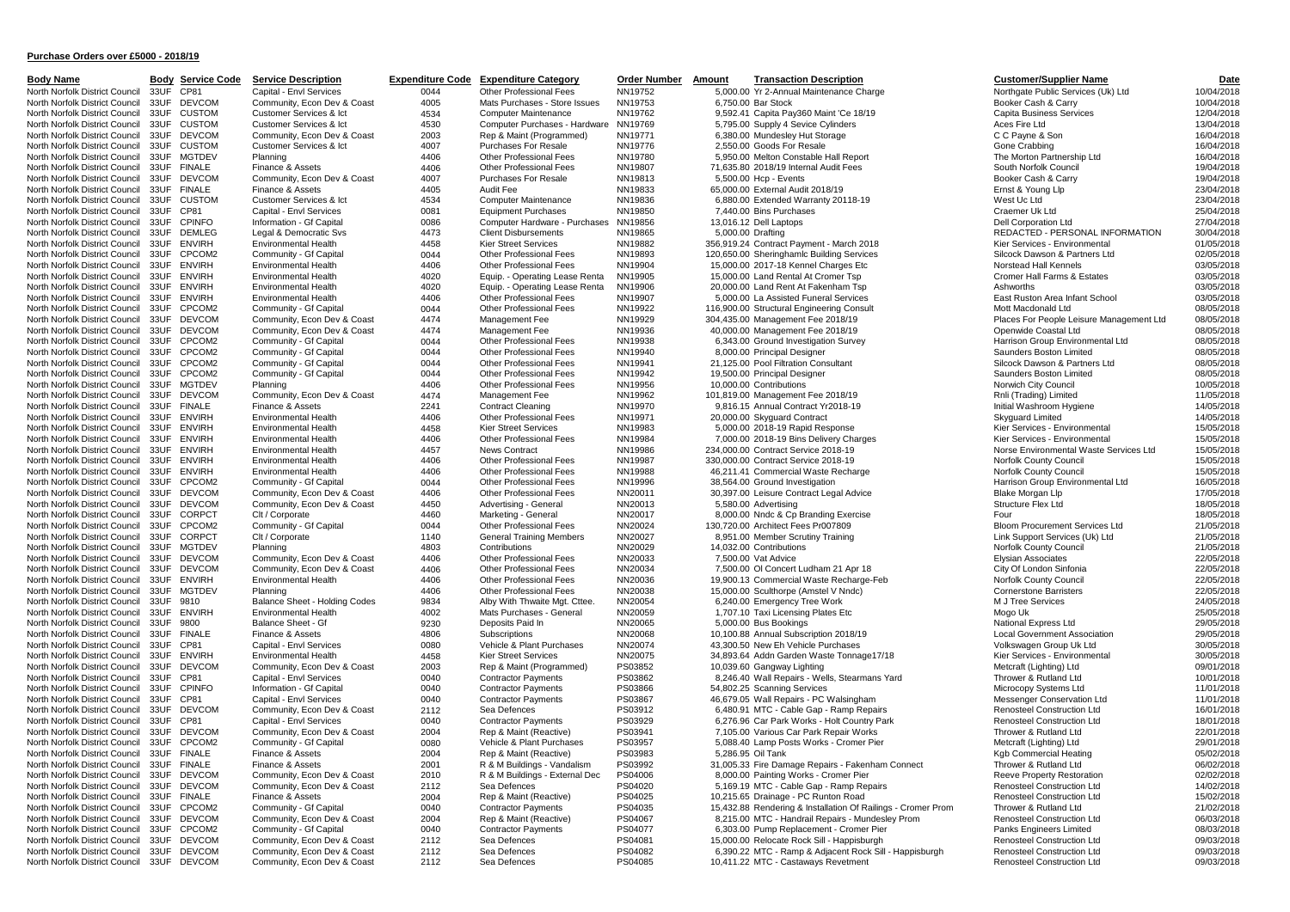| <u>Body Name</u>                                                 | <u>Body</u>  | <u>Со</u><br><u>Service</u>    |
|------------------------------------------------------------------|--------------|--------------------------------|
| North Norfolk District Council                                   | 33UF         | CP81                           |
| North Norfolk District Council                                   | 33UF         | <b>DEVCOM</b>                  |
| North Norfolk District Council                                   | 33UF         | <b>CUSTOM</b>                  |
| North Norfolk District Council                                   | 33UF         | <b>CUSTOM</b>                  |
| North Norfolk District Council                                   | 33UF         | DEVCOM                         |
| North Norfolk District Council                                   | 33UF         | <b>CUSTOM</b>                  |
| North Norfolk District Council                                   | 33UF         | MGTDEV                         |
| North Norfolk District Council                                   | 33UF         | <b>FINALE</b>                  |
| North Norfolk District Council                                   | 33UF         | <b>DEVCOM</b>                  |
| North Norfolk District Council                                   | 33UF<br>33UF | <b>FINALE</b><br><b>CUSTOM</b> |
| North Norfolk District Council<br>North Norfolk District Council | 33UF         | CP81                           |
| North Norfolk District Council                                   | 33UF         | <b>CPINFO</b>                  |
| North Norfolk District Council                                   | 33UF         | DEMLEG                         |
| North Norfolk District Council                                   | 33UF         | <b>ENVIRH</b>                  |
| North Norfolk District Council                                   | 33UF         | CPCOM2                         |
| North Norfolk District Council                                   | 33UF         | <b>ENVIRH</b>                  |
| North Norfolk District Council                                   | 33UF         | ENVIRH                         |
| North Norfolk District Council                                   | 33UF         | ENVIRH                         |
| North Norfolk District Council                                   | 33UF         | <b>ENVIRH</b>                  |
| North Norfolk District Council                                   | 33UF         | CPCOM2                         |
| North Norfolk District Council                                   | 33UF         | DEVCOM                         |
| North Norfolk District Council                                   | 33UF         | DEVCOM                         |
| North Norfolk District Council                                   | 33UF         | CPCOM2                         |
| North Norfolk District Council                                   | 33UF         | CPCOM2                         |
| North Norfolk District Council                                   | 33UF         | CPCOM2                         |
| North Norfolk District Council                                   | 33UF         | CPCOM2                         |
| North Norfolk District Council                                   | 33UF         | MGTDEV                         |
| North Norfolk District Council                                   | 33UF         | <b>DEVCOM</b>                  |
| North Norfolk District Council                                   | 33UF         | <b>FINALE</b>                  |
| North Norfolk District Council                                   | 33UF         | ENVIRH                         |
| North Norfolk District Council                                   | 33UF         | <b>ENVIRH</b>                  |
| North Norfolk District Council                                   | 33UF         | <b>ENVIRH</b>                  |
| North Norfolk District Council                                   | 33UF         | <b>ENVIRH</b>                  |
| North Norfolk District Council                                   | 33UF         | <b>ENVIRH</b>                  |
| North Norfolk District Council                                   | 33UF         | ENVIRH                         |
| North Norfolk District Council                                   | 33UF<br>33UF | CPCOM2                         |
| North Norfolk District Council<br>North Norfolk District Council | 33UF         | DEVCOM<br><b>DEVCOM</b>        |
| North Norfolk District Council                                   | 33UF         | CORPCT                         |
| North Norfolk District Council                                   | 33UF         | CPCOM2                         |
| North Norfolk District Council                                   | 33UF         | <b>CORPCT</b>                  |
| North Norfolk District Council                                   | 33UF         | <b>MGTDEV</b>                  |
| North Norfolk District Council                                   | 33UF         | <b>DEVCOM</b>                  |
| North Norfolk District Council                                   | 33UF         | <b>DEVCOM</b>                  |
| North Norfolk District Council                                   | 33UF         | ENVIRH                         |
| North Norfolk District Council                                   | 33UF         | <b>MGTDEV</b>                  |
| North Norfolk District Council                                   | 33UF         | 9810                           |
| North Norfolk District Council                                   | 33UF         | <b>ENVIRH</b>                  |
| North Norfolk District Council                                   | 33UF         | 9800                           |
| North Norfolk District Council                                   | 33UF         | <b>FINALE</b>                  |
| North Norfolk District Council                                   | 33UF         | CP81                           |
| North Norfolk District Council                                   | 33UF         | <b>ENVIRH</b>                  |
| North Norfolk District Council                                   | 33UF         | <b>DEVCOM</b>                  |
| North Norfolk District Council                                   | 33UF         | CP81                           |
| North Norfolk District Council                                   | 33UF         | <b>CPINFO</b>                  |
| North Norfolk District Council                                   | 33UF         | CP81                           |
| North Norfolk District Council                                   | 33UF         | <b>DEVCOM</b>                  |
| North Norfolk District Council                                   | 33UF         | CP81                           |
| North Norfolk District Council<br>North Norfolk District Council | 33UF         | <b>DEVCOM</b>                  |
| North Norfolk District Council                                   | 33UF<br>33UF | CPCOM2<br><b>FINALE</b>        |
| North Norfolk District Council                                   | 33UF         | <b>FINALE</b>                  |
| North Norfolk District Council                                   | 33UF         | DEVCOM                         |
| North Norfolk District Council                                   | 33UF         | <b>DEVCOM</b>                  |
| North Norfolk District Council                                   | 33UF         | <b>FINALE</b>                  |
| North Norfolk District Council                                   | 33UF         | CPCOM2                         |
| North Norfolk District Council                                   | 33UF         | <b>DEVCOM</b>                  |
| North Norfolk District Council                                   | 33UF         | CPCOM2                         |
| North Norfolk District Council                                   | 33UF         | <b>DEVCOM</b>                  |
| North Norfolk District Council                                   | 33UF         | <b>DEVCOM</b>                  |
| North Norfolk District Council                                   | 33LIE        | <b>DEVCOM</b>                  |

| rvice Description                                  | <u>E)</u> |
|----------------------------------------------------|-----------|
| pital - Envl Services                              |           |
| mmunity, Econ Dev & Coast                          |           |
| stomer Services & Ict                              |           |
| stomer Services & Ict                              |           |
| mmunity, Econ Dev & Coast<br>stomer Services & Ict |           |
| nning                                              |           |
| ance & Assets                                      |           |
| mmunity, Econ Dev & Coast                          |           |
| ance & Assets                                      |           |
| stomer Services & Ict                              |           |
| pital - Envl Services                              |           |
| ormation - Gf Capital                              |           |
| al & Democratic Svs<br>vironmental Health          |           |
| mmunity - Gf Capital                               |           |
| <i>rironmental</i> Health                          |           |
| <i>ri</i> ronmental Health                         |           |
| vironmental Health                                 |           |
| <i>ri</i> ronmental Health                         |           |
| mmunity - Gf Capital                               |           |
| mmunity, Econ Dev & Coast                          |           |
| mmunity, Econ Dev & Coast                          |           |
| mmunity - Gf Capital                               |           |
| mmunity - Gf Capital<br>mmunity - Gf Capital       |           |
| mmunity - Gf Capital                               |           |
| nning                                              |           |
| mmunity, Econ Dev & Coast                          |           |
| ance & Assets                                      |           |
| vironmental Health                                 |           |
| vironmental Health                                 |           |
| vironmental Health<br>vironmental Health           |           |
| <i>rironmental</i> Health                          |           |
| <i>rironmental</i> Health                          |           |
| mmunity - Gf Capital                               |           |
| mmunity, Econ Dev & Coast                          |           |
| mmunity, Econ Dev & Coast                          |           |
| / Corporate                                        |           |
| mmunity - Gf Capital                               |           |
| / Corporate<br>nning                               |           |
| mmunity, Econ Dev & Coast                          |           |
| mmunity, Econ Dev & Coast                          |           |
| vironmental Health                                 |           |
| nning                                              |           |
| ance Sheet - Holding Codes                         |           |
| vironmental Health                                 |           |
| ance Sheet - Gf<br>ance & Assets                   |           |
| pital - Envl Services                              |           |
| vironmental Health                                 |           |
| mmunity, Econ Dev & Coast                          |           |
| pital - Envl Services                              |           |
| ormation - Gf Capital                              |           |
| pital - Envl Services                              |           |
| mmunity, Econ Dev & Coast                          |           |
| pital - Envl Services<br>mmunity, Econ Dev & Coast |           |
| mmunity - Gf Capital                               |           |
| ance & Assets                                      |           |
| ance & Assets                                      |           |
| mmunity, Econ Dev & Coast                          |           |
| mmunity, Econ Dev & Coast                          |           |
| ance & Assets                                      |           |
| mmunity - Gf Capital                               |           |
| mmunity, Econ Dev & Coast<br>mmunity - Gf Capital  |           |
| mmunity, Econ Dev & Coast                          |           |
| mmunity, Econ Dev & Coast                          |           |
| mmunity, Econ Dev & Coast                          |           |
|                                                    |           |

Community, Econ Dev & Coast 2112 Sea Defences PS04085 10,411.22 MTC - Castaways Revetment

onde Service Description **Expenditure Code Expenditure Category 19** Order Number Amount Transaction Description Customer/Supplier Name Date Description Customer/Supplier Name Date Date Description Customer/Supplier Name Da Capital - Envl Services **1992 Capital Council 23 Capital Council 33 Capital - Environment Council 23UF Council 23UF Council 23UF Community, Econ Dev & Coast 4005 Mats Purchases - Store Issues NN19753 6,750.00 Bar Stock Mai** North Norfolk District Council 33UF DEVCOM Community, Econ Dev & Coast 4005 Mats Purchases - Store Issues NN19753 6,750.00 Bar Stock Booker Cash & Carry Booker Cash & Carry 10/04/2018 North Norfolk District Council 33UF CUSTOM Customer Services & Ict 4534 Computer Maintenance NN19762 9,592.41 Capita Pay360 Maint 'Ce 18/19 Capita Business Services 12/04/2018 North Norfolk District Council 33UF CUSTOM Customer Services & Ict 4530 Computer Purchases - Hardware NN19769 5,795.00 Supply 4 Sevice Cylinders Aces Fire Ltd Aces Fire Ltd 13/04/2018 North Norfolk District Council 33UF DEVCOM Community, Econ Dev & Coast 2003 Rep & Maint (Programmed) NN19771 6,380.00 Mundesley Hut Storage C C Payne & Son C C Payne & Son 16/04/2018 North Norfolk District Council 33UF CUSTOM Customer Services & Ict 4007 Purchases For Resale NN19776 2,550.00 Goods For Resale Gone Crabbing 16/04/2018 North Norfolk District Council 33UF MGTDEV Planning 2014 2018 4406 Other Professional Fees NN19780 5,950.00 Melton Constable Hall Report The Morton Partnership Ltd 16/04/2018 North Norfolk District Council 33UF FINALE Finance & Assets 4406 Other Professional Fees NN19807 71,635.80 2018/19 Internal Audit Fees South Norfolk Council 19/04/2018 North Norfolk District Council 33UF DEVCOM Community, Econ Dev & Coast 4007 Purchases For Resale NN19813 5,500.00 Hcp - Events Booker Cash & Carry Booker Cash & Carry 19/04/2018 North Norfolk District Council 33UF FINALE Finance & Assets 4405 Audit Fee NN19833 65,000.00 External Audit 2018/19 Ernst & Young Llp 23/04/2018 North Norfolk District Council 33UF CUSTOM Customer Services & Ict 4534 Computer Maintenance NN19836 6,880.00 Extended Warranty 20118-19 West Uc Ltd 23/04/2018 North Norfolk District Council 33UF CP81 Capital - Envl Services 0081 Equipment Purchases NN19850 7,440.00 Bins Purchases Craemer Uk Ltd Craemer Uk Ltd 25/04/2018 North Norfolk District Council 33UF CPINFO Information - Gf Capital 0086 Computer Hardware - Purchases NN19856 13,016.12 Dell Laptops Dell Captops Dell Corporation Ltd 27/04/2018 Legal & Democratic Svs 4473 Client Disbursements NN19865 5,000.00 Drafting Research Premier REDACTED - PERSONAL INFORMATION 30/04/2018<br>Environmental Health 1458 Kier Street Services NN19882 356.919.24 Contract Payment - Ma North North North Norfolk District Council 2010 1/05/2018<br>12066932018 Community - Grandal Health 2010 20044 Other Professional Fees NN19893 120,650.00 Sheringhamlc Building Services Subset Dayson & Partners Ltd 02/05/2018 North North Norfolk District Council 2004 Council Council Council 33UF Council 34UF Council 2005/2018 Community - Gf Capital 1998 1205/2018 1205/2018 1205/2018 1205/2018 1205/2018 15.000.00 2017-18 Kennel Charges Etc Norst North Norfolk District Council 33UF ENVIRH Environmental Health 4406 Other Professional Fees NN19904 15,000.00 2017-18 Kennel Charges Etc Norstead Hall Kennels 03/05/2018 North North North District Council 2020 Equip. - Operating Lease Renta NN19905 15,000.00 Land Rental At Cromer Tsp Cromer Tsp Cromer Hall Farms & Estates 03/05/2018<br>Council Health 1020 Founcil District Lease Renta NN19906 North North North North District Council 2000 Equip. - Operating Lease Renta NN19906 20,000.00 Land Rent At Fakenham Tsp 4000 Ashworths Ashworths 3005/2018 20,000 Ashworths 03/05/2018<br>2009 Environmental Health 4006 Other P North Norfolk District Council 33UF ENVIRH Environmental Health 4406 Other Professional Fees NN19907 5,000.00 La Assisted Funeral Services East Ruston Area Infant School 03/05/2018 North North North Norfolk District Council 33UF Community - Granded United Council 33UF Community - Granded Ltd<br>Community From Dev & Coast Marty 2005/2018 Management Fee NN19929 304.435.00 Management Fee 2018/19 Places For North North North District Council 2474 Management Fee NATIS 2014-135.00 Management Fee 2018/19 Places For People Leisure Management Ltd 08/05/2018 2018<br>Community, Econ Dev & Coast 4474 Management Fee NN19936 40,000.00 Man Community, Econ Dev & Coast 474 Management Fee NN19936 40,000.00 Management Fee 2018/19 Community, Econ Devicolat Ltd 08/05/2018<br>Community - Gr Capital Ltd 08/05/2018 Open Community Community Community Community Community North Norfolk District Council 33UF CPCOM2 Community - Gf Capital 0044 Other Professional Fees NN19938 6,343.00 Ground Investigation Survey Harrison Group Environmental Ltd 08/05/2018 North Norfolk District Council 33UF CPCOM2 Community - Gf Capital 0044 Other Professional Fees NN19940 8,000.00 Principal Designer Saunders Boston Limited Saunders Boston Limited 08/05/2018 North Norfolk District Council 33UF CPCOM2 Community - Gf Capital 0044 Other Professional Fees NN19941 21,125.00 Pool Filtration Consultant Silcock Dawson & Partners Ltd 08/05/2018 North Norfolk District Council 33UF CPCOM2 Community - Gf Capital 0044 Other Professional Fees NN19942 19,500.00 Principal Designer Saunders Boston Limited Saunders Boston Limited 08/05/2018 North Norfolk District Council 33UF MGTDEV Planning 2006 2018 4406 Other Professional Fees NN19956 10,000.00 Contributions Norwich City Council Norwich City Council 10/05/2018 North Norfolk District Council 33UF DEVCOM Community, Econ Dev & Coast 4474 Management Fee NN19962 101,819.00 Management Fee 2018/19 Rnli (Trading) Limited Rnli (Trading) Limited 11/05/2018 North Norfolk District Council 33UF FINALE Finance & Assets 2241 Contract Cleaning NN19970 9,816.15 Annual Contract Yr2018-19 Initial Washroom Hygiene 14/05/2018 North Norfolk District Council 33UF ENVIRH Environmental Health 4406 Other Professional Fees NN19971 20,000.00 Skyguard Contract Skyguard Limited Skyguard Limited 14/05/2018 Environmental Health 1998 1999 1999 11 15/05/2018 15/05/2018 NORFOLK District Council 23UF Environmental 15/05/2018<br>15/05/2018 15/05/2018 Cuber Professional Fees NN19984 7.000.00 2018-19 Bins Delivery Charges Kier Services North Norfolk District Council 33UF ENVIRH Environmental Health 4406 Other Professional Fees NN19984 7,000.00 2018-19 Bins Delivery Charges Kier Services - Environmental 15/05/2018 Environmental Health 1996 1467 News Contract 19986 234,000.00 Contract Service 2018-19 Norse Environmental Waste Services Ltd 15/05/2018<br>15/05/2018 16/05/2018 Dither Professional Fees NN19987 330,000.00 Contract Service 20 North Norfolk District Council 33UF ENVIRH Environmental Health 4406 Other Professional Fees NN19987 330,000.00 Contract Service 2018-19 Norfolk County Council 2017 ENVIRH 15/05/2018 North Norfolk District Council 33UF ENVIRH Environmental Health 4406 Other Professional Fees NN19988 46,211.41 Commercial Waste Recharge Norfolk County Council Austro-Council 33UF ENVIRH 15/05/2018 North North According Council 2406 Other Professional Fees NN19996 38,564.00 Ground Investigation Marrison Group Environmental Ltd 16/05/2018<br>Community From Dev & Coast 4406 Other Professional Fees NN20011 30.397.00 Leisur North Norfolk District Council 33UF DEVCOM Community, Econ Dev & Coast 4406 Other Professional Fees NN20011 30,397.00 Leisure Contract Legal Advice Blake Morgan Llp Blake Morgan Llp 17/05/2018 North Norfolk District Council 33UF DEVCOM Community, Econ Dev & Coast 4450 Advertising - General NN20013 5,580.00 Advertising Structure Flex Ltd Structure Flex Ltd Structure Flex Ltd 18/05/2018 North Norfolk District Council 33UF CORPCT Clt / Corporate 4460 Marketing - General NN20017 8,000.00 Nndc & Cp Branding Exercise Four Four Four 18/05/2018 North Norfolk District Council 33UF CPCOM2 Community - Gf Capital 0044 Other Professional Fees NN20024 130,720.00 Architect Fees Pr007809 Bloom Procurement Services Ltd 21/05/2018 North North North North Ann Council 3140 General Training Members NN20027 8,951.00 Member Scruttiny Training Link Support Services (Uk) Ltd 21/05/2018 21/05/2018<br>Planning 1803 Contributions NN20029 14.032.00 Contributions North Norfolk District Council 33UF MGTDEV Planning 2005/2018 4803 Contributions NN20029 14,032.00 Contributions Norfolk County Council Norfolk County Council 21/05/2018 North Norfolk District Council 33UF DEVCOM Community, Econ Dev & Coast 4406 Other Professional Fees NN20033 7,500.00 Vat Advice Elysian Associates Elysian Associates 22/05/2018 North Norfolk District Council 33UF DEVCOM Community, Econ Dev & Coast 4406 Other Professional Fees NN20034 7,500.00 Ol Concert Ludham 21 Apr 18 City Of London Sinfonia 22/05/2018 Environmental Health 1406 Other Professional Fees NN20036 19,900.13 Commercial Waste Recharge-Feb Norfolk County Council 22/05/2018 22/05/2018<br>Planning 2005/2018 2005/2018 Other Professional Fees NN20038 15,000.00 Sculthor North Norfolk District Council 33UF MGTDEV Planning 4406 4406 Other Professional Fees NN20038 15,000.00 Sculthorpe (Amstel V Nndc) Cornerstone Barristers 22/05/2018 22/05/2018 North Norfolk District Council 33UF 9810 Balance Sheet - Holding Codes 9834 Alby With Thwaite Mgt. Cttee. NN20054 6,240.00 Emergency Tree Work MJ Tree Services MJ Tree Services 24/05/2018 North Norfolk District Council 33UF ENVIRH Environmental Health 4002 Mats Purchases - General NN20059 1,707.10 Taxi Licensing Plates Etc Mogo Uk 25/05/2018 North Norfolk District Council 33UF 9800 Balance Sheet - Gf 9230 Deposits Paid In NN20065 5,000.00 Bus Bookings National Express Ltd 29/05/2018 North North North North District Council 29/05/2018<br>
Tinance & Assets Council 3006 Subscriptions NN20074 10,100.88 Annual Subscription 2018/19 Local Government Association 29/05/2018<br>
Capital - Envi Services 10080 Vehicle Capital - Envl Services – 20080 Vehicle & Plant Purchases NN20074 43,300.50 New Eh Vehicle Purchases – Volkswagen Group Uk Ltd 30/05/2018<br>Covironmental Health – 4458 Kier Street Services – NN20075 34,893.64 Addn Garden Was North North North Norfolk District Council 2005/2018 MORE Council 23UF Environmental Archives 2005/2018 Addn Garden Waste Tonnage17/18 Kier Services - Environmental 2005/2018<br>Community Econ Dev & Coast 2003 Rep & Maint (Pr North Norfolk District Council 33UF DEVCOM Community, Econ Dev & Coast 2003 Rep & Maint (Programmed) PS03852 10,039.60 Gangway Lighting Metcraft (Lighting) Ltd Metcraft (Lighting) Ltd 09/01/2018 Capital - Envl Services 20040 Contractor Payments PS03862 8,246.40 Wall Repairs - Wells, Stearmans Yard Thrower & Rutland Ltd 10/01/2018<br>11/01/2018 11/01/2018 Contractor Payments PS03866 54.802.25 Scanning Services Microco North Norfolk District Council 33UF CPINFO Information - Gf Capital 0040 Contractor Payments PS03866 54,802.25 Scanning Services Microcopy Systems Ltd 11/01/2018 North Norfolk District Council 33UF CP81 Capital - Envl Services 0040 Contractor Payments PS03867 46,679.05 Wall Repairs - PC Walsingham Messenger Conservation Ltd 11/01/2018 Community, Econ Dev & Coast 2112 Sea Defences PS03912 6,480.91 MTC - Cable Gap - Ramp Repairs Renosteel Construction Ltd 16/01/2018<br>Capital - Envi Services Coast 2112 Contractor Payments PS03929 6.276.96 Car Park Works - H Capital - Envl Services Coast 2004 Contractor Payments PS03929 6,276.96 Car Park Works - Holt Country Park Renosteel Construction Ltd 18/01/2018<br>Community, Econ Dev & Coast 2004 Rep & Maint (Reactive) PS03941 7,105.00 Vari North North Norfolk District Council 31,105.00 Venet Council 31,105.00 Various Car Park Repair Works Community, Econ Dev & Coast 2001/2018<br>19/01/2018 12:00 20:00 Venicle & Plant Purchases PS03957 5,088.40 Lamp Posts Works North Norfolk District Council 2008 Vehicle & Plant Purchases PS03957 5,088.40 Lamp Posts Works - Cromer Pier Metcraft (Lighting) Ltd 29/01/2018 29/01/2018<br>Community - Gf Capital 2004 Rep & Maint (Reactive) PS03983 5,286.9 North Norfolk District Council 33UF FINALE Finance & Assets 2004 Rep & Maint (Reactive) PS03983 5,286.95 Oil Tank Control District Council Heating 05/02/2018 North North Norfolk District Council 33UP 12001 R&M Buildings - Vandalism PS03992 31,005.33 Fire Damage Repairs - Fakenham Connect Thrower & Rutland Ltd 06/02/2018<br>Community Fron Dev & Coast 2010 R & M Buildings - External North North North North North North North North District Community, Econ Devico Construction 2002/2018 Reeve Property Restoration 2002/2018<br>Community, Econ Dev & Coast 2112 Sea Defences PS04020 7904020 5.169.19 MTC - Cable North North Norfolk District Council 3112 Sea Defences PS04020 S, 169.19 MTC - Cable Gap - Ramp Repairs Renosteel Construction Ltd 14/02/2018 14/02/2018<br>Privance & Assets 2004 Rep. & Maint (Reactive) PS04025 10.215.65 Drai North Norfolk District Council 23UF PS04025 10,215.65 Drainage - PC Runton Road Renosteel Construction Ltd 15/02/2018 15/02/2018 10,215.65 Drainage - PC Runton Road Renosteel Construction Ltd 15/02/2018 15/02/2018 North North North Contractor Payments PS04035 15,432.88 Rendering & Installation Of Railings - Cromer Prom Thrower & Rutland Ltd 21/02/2018<br>Community From Dev & Coast 2004 Ren & Maint (Reactive) PS04067 8215.00 MTC - Handr North Norfolk District Council 2004 Rep & Maint (Reactive) PS04067 8,215.00 MTC - Handrail Repairs - Mundesley Prom Renosteel Construction Ltd 06/03/2018<br>Community - Gr Capital Construction Contractor Payments PS04077 8,30 North North North North North District Contractor Payments PS04077 Community - Gapital 2003/2018<br>Community Food Dev & Coast 2112 Sea Defences PS04081 15,000.00 Relocate Rock Sill - Happisburgh Panks Engineers Limited 19/03 North Norfolk District Council 2112 Sea Defences PS04081 15,000.00 Relocate Rock Sill - Happisburgh Renosteel Construction Ltd 09/03/2018<br>Community, Econ Dev & Coast 2112 Sea Defences PS04082 6.390.22 MTC - Ramp & Adiacent North North District Council 33UF District Council 23UF District Council 23UF District Construction Construction Ltd 2000/2018<br>
North District Council 2000/2018 6,390.22 MTC - Costaways Revetment Reported Construction Ltd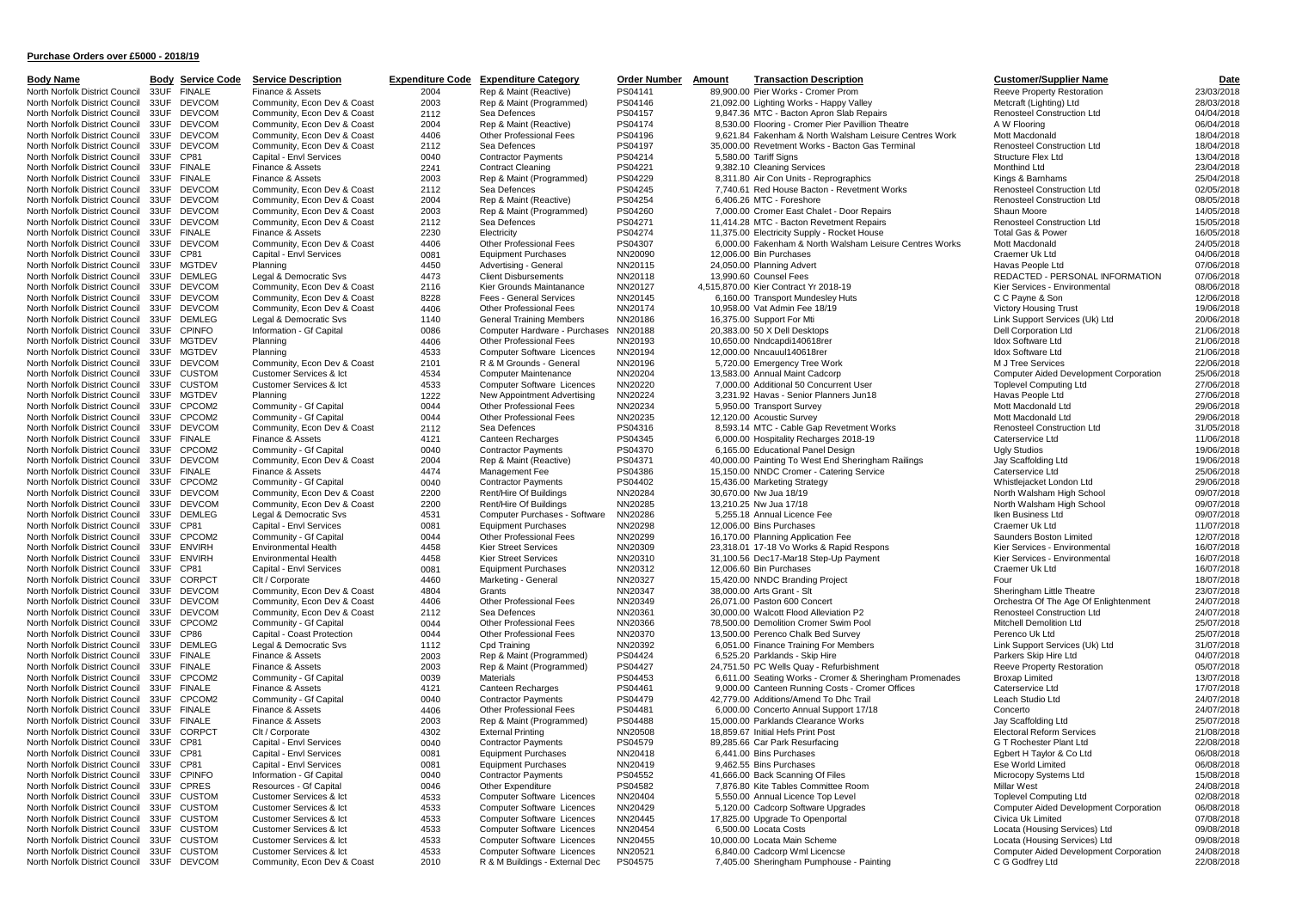| <b>Body Name</b>                                                 | <u>Body</u>  | <u>Service C</u>               |
|------------------------------------------------------------------|--------------|--------------------------------|
| North Norfolk District Council                                   | 33UF         | <b>FINALE</b>                  |
| North Norfolk District Council                                   | 33UF         | <b>DEVCOM</b>                  |
| North Norfolk District Council                                   | 33UF         | <b>DEVCOM</b>                  |
| North Norfolk District Council                                   | 33UF         | DEVCOM                         |
| North Norfolk District Council<br>North Norfolk District Council | 33UF<br>33UF | <b>DEVCOM</b><br><b>DEVCOM</b> |
| North Norfolk District Council                                   | 33UF         | CP81                           |
| North Norfolk District Council                                   | 33UF         | <b>FINALE</b>                  |
| North Norfolk District Council                                   | 33UF         | <b>FINALE</b>                  |
| North Norfolk District Council                                   | 33UF         | <b>DEVCOM</b>                  |
| North Norfolk District Council                                   | 33UF         | <b>DEVCOM</b>                  |
| North Norfolk District Council                                   | 33UF         | DEVCOM                         |
| North Norfolk District Council                                   | 33UF         | DEVCOM                         |
| North Norfolk District Council                                   | 33UF         | <b>FINALE</b>                  |
| North Norfolk District Council                                   | 33UF<br>33UF | <b>DEVCOM</b><br>CP81          |
| North Norfolk District Council<br>North Norfolk District Council | 33UF         | <b>MGTDEV</b>                  |
| North Norfolk District Council                                   | 33UF         | <b>DEMLEG</b>                  |
| North Norfolk District Council                                   | 33UF         | DEVCOM                         |
| North Norfolk District Council                                   | 33UF         | <b>DEVCOM</b>                  |
| North Norfolk District Council                                   | 33UF         | <b>DEVCOM</b>                  |
| North Norfolk District Council                                   | 33UF         | <b>DEMLEG</b>                  |
| North Norfolk District Council                                   | 33UF         | <b>CPINFO</b>                  |
| North Norfolk District Council                                   | 33UF         | <b>MGTDEV</b>                  |
| North Norfolk District Council                                   | 33UF         | <b>MGTDEV</b>                  |
| North Norfolk District Council<br>North Norfolk District Council | 33UF<br>33UF | <b>DEVCOM</b><br><b>CUSTOM</b> |
| North Norfolk District Council                                   | 33UF         | CUSTOM                         |
| North Norfolk District Council                                   | 33UF         | MGTDEV                         |
| North Norfolk District Council                                   | 33UF         | CPCOM2                         |
| North Norfolk District Council                                   | 33UF         | CPCOM2                         |
| North Norfolk District Council                                   | 33UF         | <b>DEVCOM</b>                  |
| North Norfolk District Council                                   | 33UF         | <b>FINALE</b>                  |
| North Norfolk District Council                                   | 33UF         | CPCOM2                         |
| North Norfolk District Council                                   | 33UF         | <b>DEVCOM</b>                  |
| North Norfolk District Council<br>North Norfolk District Council | 33UF<br>33UF | <b>FINALE</b><br>CPCOM2        |
| North Norfolk District Council                                   | 33UF         | <b>DEVCOM</b>                  |
| North Norfolk District Council                                   | 33UF         | DEVCOM                         |
| North Norfolk District Council                                   | 33UF         | DEMLEG                         |
| North Norfolk District Council                                   | 33UF         | CP81                           |
| North Norfolk District Council                                   | 33UF         | CPCOM2                         |
| North Norfolk District Council                                   | 33UF         | <b>ENVIRH</b>                  |
| North Norfolk District Council                                   | 33UF         | <b>ENVIRH</b>                  |
| North Norfolk District Council                                   | 33UF         | CP81                           |
| North Norfolk District Council<br>North Norfolk District Council | 33UF<br>33UF | CORPCT<br><b>DEVCOM</b>        |
| North Norfolk District Council                                   | 33UF         | DEVCOM                         |
| North Norfolk District Council                                   | 33UF         | <b>DEVCOM</b>                  |
| North Norfolk District Council                                   | 33UF         | CPCOM2                         |
| North Norfolk District Council                                   | 33UF         | <b>CP86</b>                    |
| North Norfolk District Council                                   | 33UF         | DEMLEG                         |
| North Norfolk District Council                                   | 33UF         | <b>FINALE</b>                  |
| North Norfolk District Council                                   | 33UF         | <b>FINALE</b>                  |
| North Norfolk District Council<br>North Norfolk District Council | 33UF<br>33UF | CPCOM2<br><b>FINALE</b>        |
| North Norfolk District Council                                   | 33UF         | CPCOM2                         |
| North Norfolk District Council                                   | 33UF         | <b>FINALE</b>                  |
| North Norfolk District Council                                   | 33UF         | <b>FINALE</b>                  |
| North Norfolk District Council                                   | 33UF         | CORPCT                         |
| North Norfolk District Council                                   | 33UF         | CP81                           |
| North Norfolk District Council                                   | 33UF         | CP81                           |
| North Norfolk District Council                                   | 33UF         | CP81                           |
| North Norfolk District Council                                   | 33UF         | <b>CPINFO</b>                  |
| North Norfolk District Council<br>North Norfolk District Council | 33UF<br>33UF | CPRES                          |
| North Norfolk District Council                                   | 33UF         | CUSTOM<br><b>CUSTOM</b>        |
| North Norfolk District Council                                   | 33UF         | <b>CUSTOM</b>                  |
| North Norfolk District Council                                   | 33UF         | <b>CUSTOM</b>                  |
| North Norfolk District Council                                   | 33UF         | <b>CUSTOM</b>                  |
| North Norfolk District Council                                   | 33UF         | <b>CUSTOM</b>                  |
| North Norfolk District Council                                   | 33UF         | <b>DEVCOM</b>                  |

| vice Description                                                                                                 | <u>Expe</u> |
|------------------------------------------------------------------------------------------------------------------|-------------|
| ince & Assets                                                                                                    |             |
| nmunity, Econ Dev & Coast                                                                                        |             |
| nmunity, Econ Dev & Coast                                                                                        |             |
| nmunity, Econ Dev & Coast<br>nmunity, Econ Dev & Coast                                                           |             |
| nmunity, Econ Dev & Coast                                                                                        |             |
| ital - Envl Services                                                                                             |             |
| ince & Assets                                                                                                    |             |
| ince & Assets                                                                                                    |             |
| nmunity, Econ Dev & Coast<br>nmunity, Econ Dev & Coast<br>nmunity, Econ Dev & Coast<br>nmunity, Econ Dev & Coast |             |
|                                                                                                                  |             |
|                                                                                                                  |             |
| ince & Assets                                                                                                    |             |
| nmunity, Econ Dev & Coast                                                                                        |             |
| ital - Envl Services                                                                                             |             |
| ning                                                                                                             |             |
| al & Democratic Svs                                                                                              |             |
| nmunity, Econ Dev & Coast<br>nmunity, Econ Dev & Coast                                                           |             |
| nmunity, Econ Dev & Coast                                                                                        |             |
| al & Democratic Svs                                                                                              |             |
| rmation - Gf Capital                                                                                             |             |
| nning                                                                                                            |             |
| ning                                                                                                             |             |
| nmunity, Econ Dev & Coast                                                                                        |             |
| tomer Services & Ict<br>tomer Services & Ict                                                                     |             |
| ning                                                                                                             |             |
| nmunity - Gf Capital                                                                                             |             |
| nmunity - Gf Capital                                                                                             |             |
| nmunity, Econ Dev & Coast                                                                                        |             |
| ince & Assets                                                                                                    |             |
| nmunity - Gf Capital<br>nmunity, Econ Dev & Coast                                                                |             |
| nce & Assets                                                                                                     |             |
| nmunity - Gf Capital                                                                                             |             |
| nmunity, Econ Dev & Coast                                                                                        |             |
| nmunity, Econ Dev & Coast                                                                                        |             |
| al & Democratic Svs                                                                                              |             |
| ital - Envl Services<br>nmunity - Gf Capital                                                                     |             |
| ironmental Health                                                                                                |             |
| ironmental Health                                                                                                |             |
| ital - Envl Services                                                                                             |             |
| Corporate                                                                                                        |             |
| nmunity, Econ Dev & Coast                                                                                        |             |
| nmunity, Econ Dev & Coast                                                                                        |             |
| nmunity, Econ Dev & Coast<br>nmunity - Gf Capital                                                                |             |
| ital - Coast Protection                                                                                          |             |
| al & Democratic Svs                                                                                              |             |
| ince & Assets                                                                                                    |             |
| ince & Assets                                                                                                    |             |
| nmunity - Gf Capital<br>ince & Assets                                                                            |             |
| nmunity - Gf Capital                                                                                             |             |
| ince & Assets                                                                                                    |             |
| ince & Assets                                                                                                    |             |
| Corporate                                                                                                        |             |
| ital - Envl Services                                                                                             |             |
| ital - Envl Services<br>ital - Envl Services                                                                     |             |
| rmation - Gf Capital                                                                                             |             |
| ources - Gf Capital                                                                                              |             |
| tomer Services & Ict                                                                                             |             |
| tomer Services & Ict                                                                                             |             |
| tomer Services & Ict                                                                                             |             |
| tomer Services & Ict<br>tomer Services & Ict                                                                     |             |
| tomer Services & Ict                                                                                             |             |
| nmunity, Econ Dev & Coast                                                                                        |             |
|                                                                                                                  |             |

Code Service Description Expenditure Code Expenditure Category Coder Number Amount Transaction Description Customer/Supplier Name Date<br>
Finance & Assets 2004 2004 Rep & Maint (Reactive) PS04141 89.900.00 Pier Works - Crome North Norfolk District Council 33UF FINALE Finance & Assets 23/03/2018 2004 Rep & Maint (Reactive) PS04141 89,900.00 Pier Works - Cromer Prom Reeve Property Restoration 23/03/2018 North Norfolk District Council 31,092.00 Lighting Works Happy Valley Metcraft (Lighting) Ltd 28/03/2018 28/03/2018<br>Community, Econ Dev & Coast 2112 Sea Defences PS04157 200157 21,092.00 Lighting Works - Happy Valley Metcra North North North North North 2012 Sea Defences PS04157 9,847.36 MTC - Bacton Apron Slab Repairs Renosteel Construction Ltd 04/04/2018<br>Community, Econ Dev & Coast 2004 Rep & Maint (Reactive) PS04174 8,530.00 Flooring - Cro North North Norfolk District Council 31 North North North District Council 3300 Apple 2004 Device Community, Econ Dev & Coast 2004/2018<br>18/04/2018 18/04/2018 19:10 Other Professional Fees PS04196 9.621.84 Fakenham & North Community, Econ Dev & Coast 4406 Other Professional Fees PS04196 9,621.84 Fakenham & North Walsham Leisure Centres Work Macdonald Macdonald 18/04/2018<br>Community, Econ Dev & Coast 2112 Sea Defences PS04197 35,000.00 Revetme North Norfolk District Council 2112 Sea Defences PS04197 35,000.00 Revetment Works - Bacton Gas Terminal Renosteel Construction Ltd 18/04/2018<br>Capital - Envi Services Construction District Contractor Payments PS04214 5.580 North Norfolk District Council 33UF CP81 Capital - Envl Services 0040 Contractor Payments PS04214 5,580.00 Tariff Signs Structure Flex Ltd Structure Flex Ltd 13/04/2018 North Norfolk District Council 33UF FINALE Finance & Assets 23/04/2018 2041 Contract Cleaning PS04221 9,382.10 Cleaning Services Monthind Ltd Monthind Ltd 23/04/2018 Finance & Assets **1992**<br>
Prop a Maint (Programmed) PS04229 8,311.80 Air Con Units - Reprographics Reprographics Reprographics and the Maint Council 25/04/2018<br>
Community Econ Dev & Coast 2112 Sea Defences PS04245 7.740.61 North North Norfolk District Council 2005/2018<br>Community, Econ Dev & Coast 2004 Rep & Maint (Reactive) PS04254 8.406.26 MTC - Foreshore Revetment Works Renosteel Construction Ltd 02/05/2018 North Norfolk District Council 33UF DEVCOM Community, Econ Dev & Coast 2004 Rep & Maint (Reactive) PS04254 6,406.26 MTC - Foreshore Renostre Renosteel Construction Ltd 08/05/2018 North Norfolk District Council 33UF DEVCOM Community, Econ Dev & Coast 2003 Rep & Maint (Programmed) PS04260 7,000.00 Cromer East Chalet - Door Repairs Shaun Moore 14/05/2018 North Norfolk District Council 20 112 Sea Defences PS04271 11,414.28 MTC - Bacton Revetment Repairs Renosteel Construction Ltd 15/05/2018<br>Produce A Assets 2230 Electricity Reporter Renormal PS04274 11,375.00 Electricity Su Finance & Assets 200 Electricity Ecouncil 2230 Electricity PS04274 11,375.00 Electricity Supply - Rocket House Total Gas & Power 16/05/2018<br>Community Econ Dev & Coast 4406 Other Professional Fees PS04307 6.000.00 Fakenham North North North Norfolk District Council 3406 Other Professional Fees PS04307 6,000.00 Fakenham & North Walsham Leisure Centres Works Mott Macdonald 24/05/2018 24/05/2018<br>Capital - Envi Services 0081 Equipment Purchases North Norfolk District Council 33UF CP81 Capital - Envl Services 0081 Equipment Purchases NN20090 12,006.00 Bin Purchases Craemer Uk Ltd Craemer Uk Ltd 04/06/2018 North Norfolk District Council 33UF MGTDEV Planning 4460 4450 Advertising - General NN20115 24,050.00 Planning Advert Advert Havas People Ltd Havas People Ltd 07/06/2018 Legal & Democratic Svs 4473 Client Disbursements NN20118 13,990.60 Counsel Fees REDACTED - PERSONAL INFORMATION 07/06/2018<br>Community. Econ Dev & Coast 2116 Kier Grounds Maintanance NN20127 4.515.870.00 Kier Contract Yr 201 North Norfolk District Council 33UF DEVCOM Community, Econ Dev & Coast 2116 Kier Grounds Maintanance NN20127 4,515,870.00 Kier Contract Yr 2018-19 Kier Services - Environmental 68/06/2018 North Norfolk District Council 33UF DEVCOM Community, Econ Dev & Coast 8228 Fees - General Services NN20145 6,160.00 Transport Mundesley Huts C C Payne & Son 12/06/2018 North Norfolk District Council 33UF DEVCOM Community, Econ Dev & Coast 4406 Other Professional Fees NN20174 10,958.00 Vat Admin Fee 18/19 Victory Housing Trust 19/06/2018 North Norfolk District Council 33UF DEMLEG Legal & Democratic Svs 1140 General Training Members NN20186 16,375.00 Support For Mti Link Support Services (Uk) Ltd 20/06/2018 North Norfolk District Council 33UF CPINFO Information - Gf Capital 0086 Computer Hardware - Purchases NN20188 20,383.00 50 X Dell Desktops Dell Corporation Ltd Dell Corporation Ltd 21/06/2018 North Norfolk District Council 33UF MGTDEV Planning 21/06/2018 4406 Other Professional Fees NN20193 10,650.00 Nndcapdi140618rer 2006/2018 1dox Software Ltd 21/06/2018 North Norfolk District Council 33UF MGTDEV Planning 21/06/2018 4533 Computer Software Licences NN20194 12,000.00 Nncauul140618rer Idox Software Ltd and 21/06/2018 North Norfolk District Council 33UF DEVCOM Community, Econ Dev & Coast 2101 R & M Grounds - General NN20196 5,720.00 Emergency Tree Work M J Tree Services M J Tree Services 22/06/2018 North Norfolk District Council 33UF CUSTOM Customer Services & Ict 4534 Computer Maintenance NN20204 13,583.00 Annual Maint Cadcorp Computer Aided Development Corporation 25/06/2018 North Norfolk District Council 33UF CUSTOM Customer Services & Ict and 4533 Computer Software Licences NN20220 7,000.00 Additional 50 Concurrent User Toplevel Computing Ltd 27/06/2018 North Norfolk District Council 33UF MGTDEV Planning 1222 New Appointment Advertising NN20224 3,231.92 Havas - Senior Planners Jun18 Havas People Ltd Havas People Ltd 27/06/2018 North Norfolk District Council 33UF CPCOM2 Community - Gf Capital 0044 Other Professional Fees NN20234 5,950.00 Transport Survey Mott Macdonald Ltd Macdonald Ltd 29/06/2018 North Norfolk District Council 33UF CPCOM2 Community - Gf Capital 0044 Other Professional Fees NN20235 12,120.00 Acoustic Survey Mott Macdonald Ltd Macdonald Ltd 29/06/2018 Community, Econ Dev & Coast 2112 Sea Defences PCO4316 8,593.14 MTC - Cable Gap Revetment Works Renosteel Construction Ltd 31/05/2018<br>Poten Caters Assets And Andre And Andre Contenent Recharges PS04345 6.000.00 Hospitality North Norfolk District Council 33UF FINALE Finance & Assets 4121 Canteen Recharges PS04345 6,000.00 Hospitality Recharges 2018-19 Caterservice Ltd Caterservice Ltd 11/06/2018 North Norfolk District Council 33UF CPCOM2 Community - Gf Capital 0040 Contractor Payments PS04370 6,165.00 Educational Panel Design Ugly Studios Ugly Studios 19/06/2018 North Norfolk District Council 2004 Rep & Maint (Reactive) PS04371 40,000.00 Painting To West End Sheringham Railings Jay Scaffolding Ltd 19/06/2018<br>Privatice & Assets Caterservice Ltd 4474 Management Fee PS04386 15.150.00 Einance & Assets and the Management Fee 1984386 15,150.00 NNDC Cromer - Catering Service Caterservice Ltd Caterservice Ltd 29/06/2018<br>Community - Gr Capital 1990/2018 Contractor Payments PS04402 15,436.00 Marketing Strateg North Norfolk District Council 33UF CPCOM2 Community - Gf Capital 0040 Contractor Payments PS04402 15,436.00 Marketing Strategy Whistlejacket London Ltd 29/06/2018 North Norfolk District Council 33UF DEVCOM Community, Econ Dev & Coast 2200 Rent/Hire Of Buildings NN20284 30,670.00 Nw Jua 18/19 North Walsham High School 09/07/2018 North Norfolk District Council 33UF DEVCOM Community, Econ Dev & Coast 2200 Rent/Hire Of Buildings NN20285 13,210.25 Nw Jua 17/18 North Walsham High School 09/07/2018 North Norfolk District Council 33UF DEMLEG Legal & Democratic Svs 4531 Computer Purchases - Software NN20286 5,255.18 Annual Licence Fee Iken Business Ltd Iken Business Ltd 09/07/2018 North Norfolk District Council 33UF CP81 Capital - Envl Services 0081 Equipment Purchases NN20298 12,006.00 Bins Purchases Craemer Uk Ltd Craemer Uk Ltd 11/07/2018 North North Norfolk District Council 2007/2018<br>12/07/2018 Community - Granders Council 31 Council 31 Council 34UF Council 33UF Council 2007/2018 16/07/2018<br>16/07/2018 16/07/2018 Council 23.318.01 17-18 Vo Works & Rapid Res North Norfolk District Council 33UF ENVIRH Environmental Health 4458 Kier Street Services NN20309 23,318.01 17-18 Vo Works & Rapid Respons Kier Services - Environmental 16/07/2018 North Norfolk District Council 33UF ENVIRH Environmental Health 4458 Kier Street Services NN20310 31,100.56 Dec17-Mar18 Step-Up Payment Kier Services - Environmental 16/07/2018 North Norfolk District Council 33UF CP81 Capital - Envl Services 0081 Equipment Purchases NN20312 12,006.60 Bin Purchases Craemer Uk Ltd Craemer Uk Ltd 16/07/2018 North Norfolk District Council 33UF CORPCT Clt / Corporate 4460 Marketing - General NN20327 15,420.00 NNDC Branding Project Four Four Four 18/07/2018 North Norfolk District Council 33UF DEVCOM Community, Econ Dev & Coast 4804 Grants NN20347 38,000.00 Arts Grant - Slt Sheringham Little Theatre 23/07/2018 Community, Econ Dev & Coast 4406 Other Professional Fees NN20349 26,071.00 Paston 600 Concert Community Community, Econ Dev & Coast 24/07/2018 26,071.00 Paston 600 Concert Concert Community Community From Devia Concert Coa North Norfolk District Council 33UF DEVCOM Community, Econ Dev & Coast 2112 Sea Defences NN20361 30,000.00 Walcott Flood Alleviation P2 Renosteel Construction Ltd 24/07/2018 Community - Gf Capital 25/07/2018 Council 33UT Community - Gf Capital 25/07/2018<br>Capital - Coast Protection 2004 Other Professional Fees NN20370 13.500.00 Perenco Chalk Bed Survey 2012 Perenco Uk Ltd Perenco Uk Ltd 25/07/2 North Norfolk District Council 33UF CP86 Capital - Coast Protection 0044 Other Professional Fees NN20370 13,500.00 Perenco Chalk Bed Survey Perenco Uk Ltd Perenco Uk Ltd 25/07/2018 North Norfolk District Council 231/07/2018 North North Norfolk District Council 31/07/2018<br>Privance & Assets 2003 Rep. & Maint (Programmed) PS04424 6,525.20 Parklands - Skip Hire Council Support Services (Uk) Ltd 31/07/201 North Norfolk District Council 33UF FINALE Finance & Assets 2003 Rep & Maint (Programmed) PS04424 6,525.20 Parklands - Skip Hire Parkers Skip Hire Parkers Skip Hire Parkers Skip Hire Ltd Finance & Assets 2003 Rep & Maint (Programmed) PS04427 24,751.50 PC Wells Quay - Refurbishment Reeve Property Restoration 26/07/2018<br>Community - Gf Capital 2003 Materials PS04453 BOSCOLL Community - Section 05/07/2018 Community - Gf Capital 20039 Materials Council 33UF Council 2014 Capital Business Council 33UF Community - Gf Capital 2007/2018<br>Private Brown Capital 13/07/2018 Capiteen Recharges PS04461 9,000.00 Canteen Running Costs - C Einance & Assets 1988 March 2002 12:1 Canteen Recharges PS04461 9,000.00 Canteen Running Costs - Cromer Offices Caterservice Ltd 17/07/2018 17/07/2018<br>Community - Gr Capital 1999 0.0040 Contractor Payments PS04479 42.779.0 North North North North North North District Council 33UF Council 33UF Council 24/07/2018<br>1991 Council 33UF Council 34/07/2018 5000.00 Concerto Annual Support 17/18 2010 Concerto 24/07/2018 North North North Norfolk District Council Council 24/06 Other Professional Fees PS04481 6,000.00 Concerto Annual Support 17/18 Concerto Concerto 24/07/2018<br>2003 Rep & Maint (Programmed) PS04488 15.000.00 Parklands Clearan Porth North Norfolk District Council 2003 Rep & Maint (Programmed) PS04488 15,000.00 Parklands Clearance Works Jay Scaffolding Ltd Jay Scaffolding Ltd 25/07/2018<br>Clt / Corporate 21/08/2018 21/08/2018 Referred Printing NN20 North Norfolk District Council 33UF CORPCT Clt / Corporate 4302 External Printing NN20508 18,859.67 Initial Hefs Print Post Electoral Reform Services 21/08/2018 North Norfolk District Council 33UF CP81 Capital - Envl Services 0040 Contractor Payments PS04579 89,285.66 Car Park Resurfacing G T Rochester Plant Ltd 22/08/2018 North Norfolk District Council 33UF CP81 Capital - Envl Services 0081 Equipment Purchases NN20418 6,441.00 Bins Purchases Egbert H Taylor & Co Ltd 06/08/2018 North Norfolk District Council 33UF CP81 Capital - Envl Services 0081 Equipment Purchases NN20419 9,462.55 Bins Purchases Ese World Limited Ese World Limited 06/08/2018 North Norfolk District Council 33UF CPINFO Information - Gf Capital 0040 Contractor Payments PS04552 41,666.00 Back Scanning Of Files Microcopy Systems Ltd Microcopy Systems Ltd 15/08/2018 North North North Norfolk District Council 24/08/2018<br>North North North American District Council 24/08/2018 PS04582 7,876.80 Kite Tables Committee Room Millar West<br>Customer Services & Ict 4533 Computer Software Licences N North Norfolk District Council 33UF CUSTOM Customer Services & Ict 4533 Computer Software Licences NN20404 5,550.00 Annual Licence Top Level Toplevel Computing Ltd Toplevel Computing Ltd 02/08/2018 Customer Services & Ict **ADV** 4533 Computer Software Licences NN20429 5,120.00 Cadcorp Software Upgrades Computer Aided Development Corporation 06/08/2018<br>Customer Services & Ict 4533 Computer Software Licences NN20445 17. North Norfolk District Council 33UF CUSTOM Customer Services & Ict 4533 Computer Software Licences NN20445 17,825.00 Upgrade To Openportal Civica Uk Limited Civica Uk Limited 07/08/2018 North Norfolk District Council 33UF CUSTOM Customer Services & Ict 4533 Computer Software Licences NN20454 6,500.00 Locata Costs Locata Costs Ltd Locata (Housing Services) Ltd 09/08/2018 Customer Services & Ict https://www.computer Software Licences NN20455 10,000.00 Locata Main Scheme Locata Main Scheme Locata (Housing Services) Ltd 09/08/2018 09/08/2018<br>Customer Services & Ict https://www.computer Softwa NORTH NORFOLK DISTRICT COUNCIL 33UF COUNCIL 24/08/2018<br>PS04575 7.405.00 Sheringham Pumphouse - Painting Computer Conputer Aided Development Corporation 22/08/2018 North North North Act District Council 34 UP Development Dec PS04575 7,405.00 Sheringham Pumphouse - Painting C Godfrey Ltd 2010 R & M Buildings - External Dec PS04575 7,405.00 Sheringham Pumphouse - Painting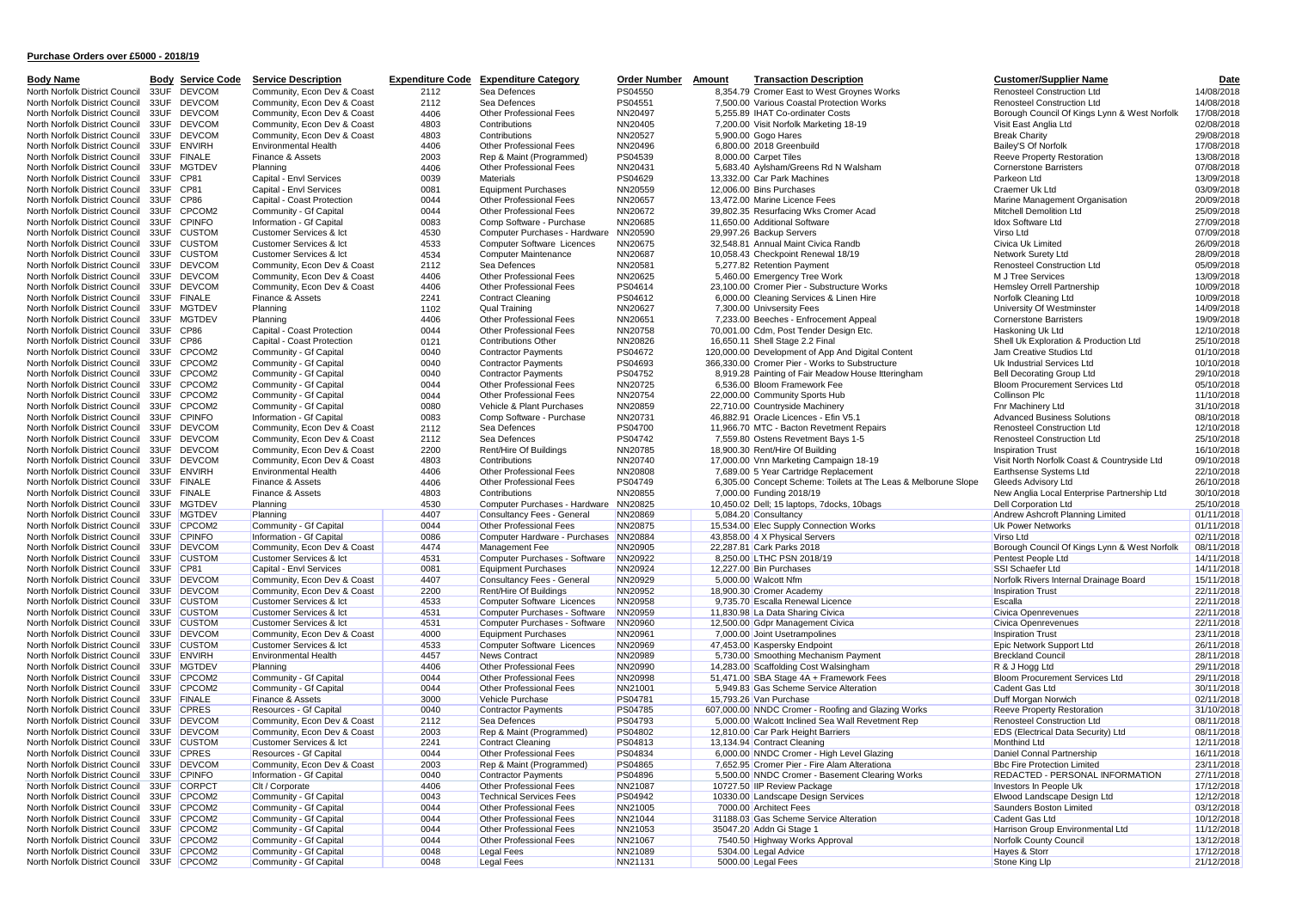| <b>Body Name</b>                                                                         | <b>Body Service Code</b> | <b>Service Description</b>                                        |              | <b>Expenditure Code Expenditure Category</b>              | <b>Order Number</b> Amount | <b>Transaction Description</b>                                            | <b>Customer/Supplier Name</b>                                              | Date                     |
|------------------------------------------------------------------------------------------|--------------------------|-------------------------------------------------------------------|--------------|-----------------------------------------------------------|----------------------------|---------------------------------------------------------------------------|----------------------------------------------------------------------------|--------------------------|
| North Norfolk District Council                                                           | 33UF DEVCOM              | Community, Econ Dev & Coast                                       | 2112         | Sea Defences                                              | PS04550                    | 8.354.79 Cromer East to West Grovnes Works                                | <b>Renosteel Construction Ltd</b>                                          | 14/08/2018               |
| North Norfolk District Council                                                           | <b>DEVCOM</b><br>33UF    | Community, Econ Dev & Coast                                       | 2112         | Sea Defences                                              | PS04551                    | 7,500.00 Various Coastal Protection Works                                 | Renosteel Construction Ltd                                                 | 14/08/2018               |
| North Norfolk District Council 33UF DEVCOM                                               |                          | Community, Econ Dev & Coast                                       | 4406         | Other Professional Fees                                   | NN20497                    | 5.255.89 IHAT Co-ordinater Costs                                          | Borough Council Of Kings Lynn & West Norfolk                               | 17/08/2018               |
| North Norfolk District Council 33UF DEVCOM                                               |                          | Community, Econ Dev & Coast                                       | 4803         | Contributions                                             | NN20405                    | 7,200.00 Visit Norfolk Marketing 18-19                                    | Visit East Anglia Ltd                                                      | 02/08/2018               |
| North Norfolk District Council 33UF DEVCOM                                               |                          | Community, Econ Dev & Coast                                       | 4803         | Contributions                                             | NN20527                    | 5,900.00 Gogo Hares                                                       | <b>Break Charity</b>                                                       | 29/08/2018               |
| North Norfolk District Council 33UF ENVIRH                                               |                          | Environmental Health                                              | 4406         | Other Professional Fees                                   | NN20496                    | 6,800.00 2018 Greenbuild                                                  | Bailey'S Of Norfolk                                                        | 17/08/2018               |
| North Norfolk District Council 33UF FINALE                                               |                          | Finance & Assets                                                  | 2003         | Rep & Maint (Programmed)                                  | PS04539                    | 8,000.00 Carpet Tiles                                                     | Reeve Property Restoration                                                 | 13/08/2018               |
| North Norfolk District Council 33UF MGTDEV                                               |                          | Planning                                                          | 4406         | Other Professional Fees                                   | NN20431                    | 5,683.40 Aylsham/Greens Rd N Walsham                                      | <b>Cornerstone Barristers</b>                                              | 07/08/2018               |
| North Norfolk District Council 33UF CP81                                                 |                          | Capital - Envl Services                                           | 0039<br>0081 | Materials                                                 | PS04629                    | 13,332.00 Car Park Machines                                               | Parkeon Ltd<br>Craemer Uk Ltd                                              | 13/09/2018<br>03/09/2018 |
| North Norfolk District Council 33UF CP81<br>North Norfolk District Council 33UF CP86     |                          | Capital - Envl Services<br>Capital - Coast Protection             | 0044         | <b>Equipment Purchases</b><br>Other Professional Fees     | NN20559<br>NN20657         | 12,006.00 Bins Purchases<br>13,472.00 Marine Licence Fees                 | Marine Management Organisation                                             | 20/09/2018               |
| North Norfolk District Council 33UF CPCOM2                                               |                          | Community - Gf Capital                                            | 0044         | Other Professional Fees                                   | NN20672                    | 39,802.35 Resurfacing Wks Cromer Acad                                     | Mitchell Demolition Ltd                                                    | 25/09/2018               |
| North Norfolk District Council 33UF CPINFO                                               |                          | Information - Gf Capital                                          | 0083         | Comp Software - Purchase                                  | NN20685                    | 11,650.00 Additional Software                                             | Idox Software Ltd                                                          | 27/09/2018               |
| North Norfolk District Council 33UF CUSTOM                                               |                          | Customer Services & Ict                                           | 4530         | Computer Purchases - Hardware                             | NN20590                    | 29,997.26 Backup Servers                                                  | Virso Ltd                                                                  | 07/09/2018               |
| North Norfolk District Council 33UF CUSTOM                                               |                          | Customer Services & Ict                                           | 4533         | Computer Software Licences                                | NN20675                    | 32,548.81 Annual Maint Civica Randb                                       | Civica Uk Limited                                                          | 26/09/2018               |
| North Norfolk District Council 33UF CUSTOM                                               |                          | Customer Services & Ict                                           | 4534         | Computer Maintenance                                      | NN20687                    | 10,058.43 Checkpoint Renewal 18/19                                        | Network Surety Ltd                                                         | 28/09/2018               |
| North Norfolk District Council 33UF DEVCOM                                               |                          | Community, Econ Dev & Coast                                       | 2112         | Sea Defences                                              | NN20581                    | 5,277.82 Retention Payment                                                | Renosteel Construction Ltd                                                 | 05/09/2018               |
| North Norfolk District Council 33UF DEVCOM                                               |                          | Community, Econ Dev & Coast                                       | 4406         | Other Professional Fees                                   | NN20625                    | 5,460.00 Emergency Tree Work                                              | M J Tree Services                                                          | 13/09/2018               |
| North Norfolk District Council 33UF DEVCOM                                               |                          | Community, Econ Dev & Coast                                       | 4406         | Other Professional Fees                                   | PS04614                    | 23,100.00 Cromer Pier - Substructure Works                                | Hemsley Orrell Partnership                                                 | 10/09/2018               |
| North Norfolk District Council 33UF FINALE                                               |                          | Finance & Assets                                                  | 2241         | <b>Contract Cleaning</b>                                  | PS04612                    | 6,000.00 Cleaning Services & Linen Hire                                   | Norfolk Cleaning Ltd                                                       | 10/09/2018               |
| North Norfolk District Council 33UF MGTDEV                                               |                          | Planning                                                          | 1102         | Qual Training                                             | NN20627                    | 7,300.00 Univsersity Fees                                                 | University Of Westminster                                                  | 14/09/2018               |
| North Norfolk District Council 33UF MGTDEV                                               |                          | Planning                                                          | 4406         | Other Professional Fees                                   | NN20651                    | 7,233.00 Beeches - Enfrocement Appeal                                     | <b>Cornerstone Barristers</b>                                              | 19/09/2018               |
| North Norfolk District Council 33UF CP86<br>North Norfolk District Council 33UF CP86     |                          | Capital - Coast Protection<br>Capital - Coast Protection          | 0044<br>0121 | Other Professional Fees<br><b>Contributions Other</b>     | NN20758<br>NN20826         | 70,001.00 Cdm, Post Tender Design Etc.<br>16,650.11 Shell Stage 2.2 Final | Haskoning Uk Ltd<br>Shell Uk Exploration & Production Ltd                  | 12/10/2018<br>25/10/2018 |
| North Norfolk District Council 33UF CPCOM2                                               |                          | Community - Gf Capital                                            | 0040         | <b>Contractor Payments</b>                                | PS04672                    | 120,000.00 Development of App And Digital Content                         | Jam Creative Studios Ltd                                                   | 01/10/2018               |
| North Norfolk District Council 33UF CPCOM2                                               |                          | Community - Gf Capital                                            | 0040         | <b>Contractor Payments</b>                                | PS04693                    | 366,330.00 Cromer Pier - Works to Substructure                            | Uk Industrial Services Ltd                                                 | 10/10/2018               |
| North Norfolk District Council 33UF CPCOM2                                               |                          | Community - Gf Capital                                            | 0040         | <b>Contractor Payments</b>                                | PS04752                    | 8,919.28 Painting of Fair Meadow House Itteringham                        | <b>Bell Decorating Group Ltd</b>                                           | 29/10/2018               |
| North Norfolk District Council 33UF CPCOM2                                               |                          | Community - Gf Capital                                            | 0044         | Other Professional Fees                                   | NN20725                    | 6,536.00 Bloom Framework Fee                                              | Bloom Procurement Services Ltd                                             | 05/10/2018               |
| North Norfolk District Council                                                           | 33UF CPCOM2              | Community - Gf Capital                                            | 0044         | Other Professional Fees                                   | NN20754                    | 22,000.00 Community Sports Hub                                            | Collinson Plc                                                              | 11/10/2018               |
| North Norfolk District Council 33UF CPCOM2                                               |                          | Community - Gf Capital                                            | 0080         | Vehicle & Plant Purchases                                 | NN20859                    | 22,710.00 Countryside Machinery                                           | Fnr Machinery Ltd                                                          | 31/10/2018               |
| North Norfolk District Council 33UF CPINFO                                               |                          | Information - Gf Capital                                          | 0083         | Comp Software - Purchase                                  | NN20731                    | 46,882.91 Oracle Licences - Efin V5.1                                     | <b>Advanced Business Solutions</b>                                         | 08/10/2018               |
| North Norfolk District Council 33UF DEVCOM                                               |                          | Community, Econ Dev & Coast                                       | 2112         | Sea Defences                                              | PS04700                    | 11,966.70 MTC - Bacton Revetment Repairs                                  | Renosteel Construction Ltd                                                 | 12/10/2018               |
| North Norfolk District Council 33UF DEVCOM                                               |                          | Community, Econ Dev & Coast                                       | 2112         | Sea Defences                                              | PS04742                    | 7,559.80 Ostens Revetment Bays 1-5                                        | Renosteel Construction Ltd                                                 | 25/10/2018               |
| North Norfolk District Council 33UF DEVCOM                                               |                          | Community, Econ Dev & Coast                                       | 2200         | Rent/Hire Of Buildings                                    | NN20785                    | 18,900.30 Rent/Hire Of Building                                           | <b>Inspiration Trust</b>                                                   | 16/10/2018               |
| North Norfolk District Council 33UF DEVCOM                                               |                          | Community, Econ Dev & Coast                                       | 4803         | Contributions                                             | NN20740                    | 17,000.00 Vnn Marketing Campaign 18-19                                    | Visit North Norfolk Coast & Countryside Ltd                                | 09/10/2018               |
| North Norfolk District Council 33UF ENVIRH                                               |                          | <b>Environmental Health</b>                                       | 4406         | Other Professional Fees                                   | NN20808                    | 7,689.00 5 Year Cartridge Replacement                                     | Earthsense Systems Ltd                                                     | 22/10/2018               |
| North Norfolk District Council 33UF FINALE                                               |                          | Finance & Assets<br>Finance & Assets                              | 4406<br>4803 | Other Professional Fees<br>Contributions                  | PS04749<br>NN20855         | 6,305.00 Concept Scheme: Toilets at The Leas & Melborune Slope            | Gleeds Advisory Ltd                                                        | 26/10/2018<br>30/10/2018 |
| North Norfolk District Council 33UF FINALE<br>North Norfolk District Council 33UF MGTDEV |                          | Planning                                                          | 4530         | Computer Purchases - Hardware                             | NN20825                    | 7,000.00 Funding 2018/19<br>10,450.02 Dell; 15 laptops, 7docks, 10bags    | New Anglia Local Enterprise Partnership Ltd<br><b>Dell Corporation Ltd</b> | 25/10/2018               |
| North Norfolk District Council 33UF MGTDEV                                               |                          | Planning                                                          | 4407         | Consultancy Fees - General                                | NN20869                    | 5,084.20 Consultancy                                                      | Andrew Ashcroft Planning Limited                                           | 01/11/2018               |
| North Norfolk District Council 33UF CPCOM2                                               |                          | Community - Gf Capital                                            | 0044         | Other Professional Fees                                   | NN20875                    | 15,534.00 Elec Supply Connection Works                                    | Uk Power Networks                                                          | 01/11/2018               |
| North Norfolk District Council 33UF CPINFO                                               |                          | Information - Gf Capital                                          | 0086         | Computer Hardware - Purchases                             | NN20884                    | 43,858.00 4 X Physical Servers                                            | Virso Ltd                                                                  | 02/11/2018               |
| North Norfolk District Council 33UF DEVCOM                                               |                          | Community, Econ Dev & Coast                                       | 4474         | Management Fee                                            | NN20905                    | 22,287.81 Cark Parks 2018                                                 | Borough Council Of Kings Lynn & West Norfolk                               | 08/11/2018               |
| North Norfolk District Council 33UF CUSTOM                                               |                          | Customer Services & Ict                                           | 4531         | Computer Purchases - Software                             | NN20922                    | 8,250.00 LTHC PSN 2018/19                                                 | Pentest People Ltd                                                         | 14/11/2018               |
| North Norfolk District Council 33UF CP81                                                 |                          | Capital - Envl Services                                           | 0081         | <b>Equipment Purchases</b>                                | NN20924                    | 12,227.00 Bin Purchases                                                   | SSI Schaefer Ltd                                                           | 14/11/2018               |
| North Norfolk District Council 33UF DEVCOM                                               |                          | Community, Econ Dev & Coast                                       | 4407         | Consultancy Fees - General                                | NN20929                    | 5,000.00 Walcott Nfm                                                      | Norfolk Rivers Internal Drainage Board                                     | 15/11/2018               |
| North Norfolk District Council 33UF DEVCOM                                               |                          | Community, Econ Dev & Coast                                       | 2200         | Rent/Hire Of Buildings                                    | NN20952                    | 18,900.30 Cromer Academy                                                  | <b>Inspiration Trust</b>                                                   | 22/11/2018               |
| North Norfolk District Council 33UF CUSTOM                                               |                          | <b>Customer Services &amp; Ict</b>                                | 4533         | Computer Software Licences                                | NN20958                    | 9,735.70 Escalla Renewal Licence                                          | Escalla                                                                    | 22/11/2018               |
| North Norfolk District Council 33UF CUSTOM                                               |                          | <b>Customer Services &amp; Ict</b>                                | 4531         | Computer Purchases - Software                             | NN20959                    | 11,830.98 La Data Sharing Civica                                          | Civica Openrevenues                                                        | 22/11/2018               |
| North Norfolk District Council 33UF CUSTOM                                               |                          | <b>Customer Services &amp; Ict</b>                                | 4531<br>4000 | Computer Purchases - Software                             | NN20960                    | 12,500.00 Gdpr Management Civica                                          | Civica Openrevenues                                                        | 22/11/2018<br>23/11/2018 |
| North Norfolk District Council 33UF DEVCOM<br>North Norfolk District Council 33UF CUSTOM |                          | Community, Econ Dev & Coast<br><b>Customer Services &amp; Ict</b> | 4533         | <b>Equipment Purchases</b><br>Computer Software Licences  | NN20961<br>NN20969         | 7,000.00 Joint Usetrampolines<br>47,453.00 Kaspersky Endpoint             | <b>Inspiration Trust</b><br>Epic Network Support Ltd                       | 26/11/2018               |
| North Norfolk District Council 33UF ENVIRH                                               |                          | Environmental Health                                              | 4457         | <b>News Contract</b>                                      | NN20989                    | 5,730.00 Smoothing Mechanism Payment                                      | <b>Breckland Council</b>                                                   | 28/11/2018               |
| North Norfolk District Council 33UF MGTDEV                                               |                          | Planning                                                          | 4406         | Other Professional Fees                                   | NN20990                    | 14,283.00 Scaffolding Cost Walsingham                                     | R & J Hogg Ltd                                                             | 29/11/2018               |
| North Norfolk District Council 33UF CPCOM2                                               |                          | Community - Gf Capital                                            | 0044         | Other Professional Fees                                   | NN20998                    | 51,471.00 SBA Stage 4A + Framework Fees                                   | Bloom Procurement Services Ltd                                             | 29/11/2018               |
| North Norfolk District Council 33UF CPCOM2                                               |                          | Community - Gf Capital                                            | 0044         | Other Professional Fees                                   | NN21001                    | 5,949.83 Gas Scheme Service Alteration                                    | Cadent Gas Ltd                                                             | 30/11/2018               |
| North Norfolk District Council 33UF FINALE                                               |                          | Finance & Assets                                                  | 3000         | Vehicle Purchase                                          | PS04781                    | 15,793.26 Van Purchase                                                    | Duff Morgan Norwich                                                        | 02/11/2018               |
| North Norfolk District Council 33UF CPRES                                                |                          | Resources - Gf Capital                                            | 0040         | <b>Contractor Payments</b>                                | PS04785                    | 607,000.00 NNDC Cromer - Roofing and Glazing Works                        | Reeve Property Restoration                                                 | 31/10/2018               |
| North Norfolk District Council 33UF DEVCOM                                               |                          | Community, Econ Dev & Coast                                       | 2112         | Sea Defences                                              | PS04793                    | 5,000.00 Walcott Inclined Sea Wall Revetment Rep                          | Renosteel Construction Ltd                                                 | 08/11/2018               |
| North Norfolk District Council 33UF DEVCOM                                               |                          | Community, Econ Dev & Coast                                       | 2003         | Rep & Maint (Programmed)                                  | PS04802                    | 12,810.00 Car Park Height Barriers                                        | EDS (Electrical Data Security) Ltd                                         | 08/11/2018               |
| North Norfolk District Council 33UF CUSTOM                                               |                          | <b>Customer Services &amp; Ict</b>                                | 2241         | <b>Contract Cleaning</b>                                  | PS04813                    | 13,134.94 Contract Cleaning                                               | <b>Monthind Ltd</b>                                                        | 12/11/2018               |
| North Norfolk District Council 33UF CPRES                                                |                          | Resources - Gf Capital                                            | 0044         | <b>Other Professional Fees</b>                            | PS04834                    | 6,000.00 NNDC Cromer - High Level Glazing                                 | Daniel Connal Partnership                                                  | 16/11/2018               |
| North Norfolk District Council 33UF DEVCOM                                               |                          | Community, Econ Dev & Coast                                       | 2003         | Rep & Maint (Programmed)                                  | PS04865                    | 7,652.95 Cromer Pier - Fire Alam Alterationa                              | <b>Bbc Fire Protection Limited</b>                                         | 23/11/2018               |
| North Norfolk District Council 33UF CPINFO                                               |                          | Information - Gf Capital                                          | 0040         | Contractor Payments                                       | PS04896                    | 5,500.00 NNDC Cromer - Basement Clearing Works                            | REDACTED - PERSONAL INFORMATION                                            | 27/11/2018               |
| North Norfolk District Council 33UF CORPCT                                               |                          | Clt / Corporate                                                   | 4406         | <b>Other Professional Fees</b>                            | NN21087                    | 10727.50 IIP Review Package                                               | Investors In People Uk                                                     | 17/12/2018               |
| North Norfolk District Council 33UF CPCOM2<br>North Norfolk District Council 33UF CPCOM2 |                          | Community - Gf Capital<br>Community - Gf Capital                  | 0043<br>0044 | <b>Technical Services Fees</b><br>Other Professional Fees | PS04942<br>NN21005         | 10330.00 Landscape Design Services<br>7000.00 Architect Fees              | Elwood Landscape Design Ltd<br>Saunders Boston Limited                     | 12/12/2018<br>03/12/2018 |
| North Norfolk District Council 33UF CPCOM2                                               |                          | Community - Gf Capital                                            | 0044         | Other Professional Fees                                   | NN21044                    | 31188.03 Gas Scheme Service Alteration                                    | Cadent Gas Ltd                                                             | 10/12/2018               |
| North Norfolk District Council 33UF CPCOM2                                               |                          | Community - Gf Capital                                            | 0044         | Other Professional Fees                                   | NN21053                    | 35047.20 Addn Gi Stage 1                                                  | Harrison Group Environmental Ltd                                           | 11/12/2018               |
| North Norfolk District Council 33UF CPCOM2                                               |                          | Community - Gf Capital                                            | 0044         | <b>Other Professional Fees</b>                            | NN21067                    | 7540.50 Highway Works Approval                                            | Norfolk County Council                                                     | 13/12/2018               |
| North Norfolk District Council 33UF CPCOM2                                               |                          | Community - Gf Capital                                            | 0048         | <b>Legal Fees</b>                                         | NN21089                    | 5304.00 Legal Advice                                                      | Hayes & Storr                                                              | 17/12/2018               |
| North Norfolk District Council 33UF CPCOM2                                               |                          | Community - Gf Capital                                            | 0048         | <b>Legal Fees</b>                                         | NN21131                    | 5000.00 Legal Fees                                                        | Stone King Llp                                                             | 21/12/2018               |